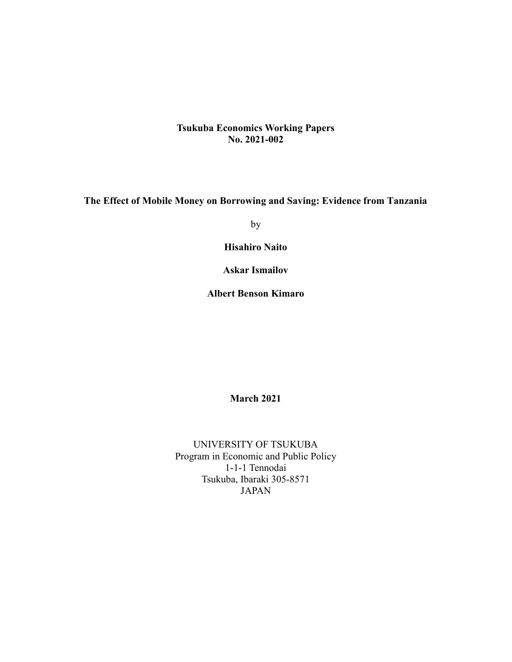## Tsukuba Economics Working Papers No. 2021-002

The Effect of Mobile Money on Borrowing and Saving: Evidence from Tanzania

by

Hisahiro Naito

Askar Ismailov

Albert Benson Kimaro

March 2021

UNIVERSITY OF TSUKUBA Program in Economic and Public Policy 1-1-1 Tennodai Tsukuba, Ibaraki 305-8571 JAPAN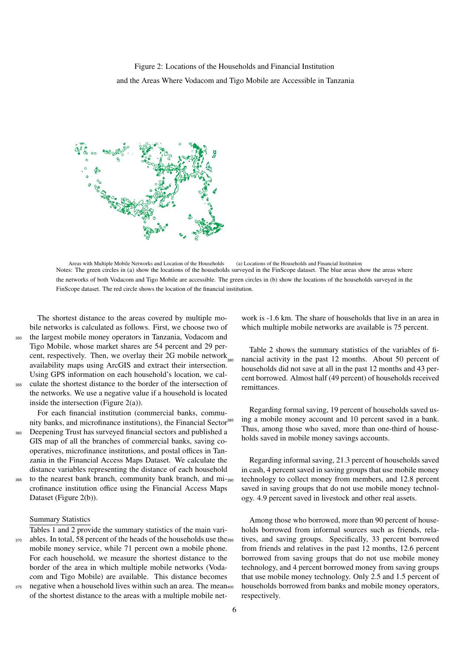Areas with Multiple Mobile Networks and Location of the Households (a) Locations of the Households and Financial Institution Notes: The green circles in (a) show the locations of the households surveyed in the FinScope dataset. The blue areas show the areas where the networks of both Vodacom and Tigo Mobile are accessible. The green circles in (b) show the locations of the households surveyed in the FinScope dataset. The red circle shows the location of the financial institution.

The shortest distance to the areas covered by multiple mobile networks is calculated as follows. First, we choose two of <sup>350</sup> the largest mobile money operators in Tanzania, Vodacom and Tigo Mobile, whose market shares are 54 percent and 29 percent, respectively. Then, we overlay their 2G mobile network $_{\text{max}}$ 

availability maps using ArcGIS and extract their intersection. Using GPS information on each household's location, we cal-<sup>355</sup> culate the shortest distance to the border of the intersection of the networks. We use a negative value if a household is located

inside the intersection (Figure 2(a)).

For each financial institution (commercial banks, community banks, and microfinance institutions), the Financial Sector <sup>360</sup> Deepening Trust has surveyed financial sectors and published a GIS map of all the branches of commercial banks, saving cooperatives, microfinance institutions, and postal offices in Tan-

zania in the Financial Access Maps Dataset. We calculate the distance variables representing the distance of each household 365 to the nearest bank branch, community bank branch, and mi-390 crofinance institution office using the Financial Access Maps Dataset (Figure 2(b)).

#### Summary Statistics

Tables 1 and 2 provide the summary statistics of the main vari-370 ables. In total, 58 percent of the heads of the households use the 395 mobile money service, while 71 percent own a mobile phone. For each household, we measure the shortest distance to the border of the area in which multiple mobile networks (Vodacom and Tigo Mobile) are available. This distance becomes 375 negative when a household lives within such an area. The mean400

of the shortest distance to the areas with a multiple mobile net-

work is -1.6 km. The share of households that live in an area in which multiple mobile networks are available is 75 percent.

Table 2 shows the summary statistics of the variables of financial activity in the past 12 months. About 50 percent of households did not save at all in the past 12 months and 43 percent borrowed. Almost half (49 percent) of households received remittances.

Regarding formal saving, 19 percent of households saved using a mobile money account and 10 percent saved in a bank. Thus, among those who saved, more than one-third of households saved in mobile money savings accounts.

Regarding informal saving, 21.3 percent of households saved in cash, 4 percent saved in saving groups that use mobile money technology to collect money from members, and 12.8 percent saved in saving groups that do not use mobile money technology. 4.9 percent saved in livestock and other real assets.

Among those who borrowed, more than 90 percent of households borrowed from informal sources such as friends, relatives, and saving groups. Specifically, 33 percent borrowed from friends and relatives in the past 12 months, 12.6 percent borrowed from saving groups that do not use mobile money technology, and 4 percent borrowed money from saving groups that use mobile money technology. Only 2.5 and 1.5 percent of households borrowed from banks and mobile money operators, respectively.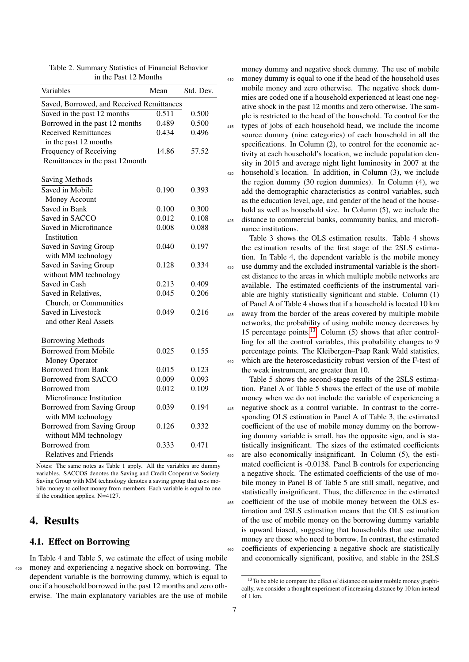| Variables                                 | Mean  | Std. Dev. |
|-------------------------------------------|-------|-----------|
| Saved, Borrowed, and Received Remittances |       |           |
| Saved in the past 12 months               | 0.511 | 0.500     |
| Borrowed in the past 12 months            | 0.489 | 0.500     |
| <b>Received Remittances</b>               | 0.434 | 0.496     |
| in the past 12 months                     |       |           |
| Frequency of Receiving                    | 14.86 | 57.52     |
| Remittances in the past 12month           |       |           |
| Saving Methods                            |       |           |
| Saved in Mobile                           | 0.190 | 0.393     |
| Money Account                             |       |           |
| Saved in Bank                             | 0.100 | 0.300     |
| Saved in SACCO                            | 0.012 | 0.108     |
| Saved in Microfinance                     | 0.008 | 0.088     |
| Institution                               |       |           |
| Saved in Saving Group                     | 0.040 | 0.197     |
| with MM technology                        |       |           |
| Saved in Saving Group                     | 0.128 | 0.334     |
| without MM technology                     |       |           |
| Saved in Cash                             | 0.213 | 0.409     |
| Saved in Relatives,                       | 0.045 | 0.206     |
| Church, or Communities                    |       |           |
| Saved in Livestock                        | 0.049 | 0.216     |
| and other Real Assets                     |       |           |
| <b>Borrowing Methods</b>                  |       |           |
| <b>Borrowed from Mobile</b>               | 0.025 | 0.155     |
| Money Operator                            |       |           |
| <b>Borrowed from Bank</b>                 | 0.015 | 0.123     |
| Borrowed from SACCO                       | 0.009 | 0.093     |
| Borrowed from                             | 0.012 | 0.109     |
| Microfinance Institution                  |       |           |
| Borrowed from Saving Group                | 0.039 | 0.194     |
| with MM technology                        |       |           |
| Borrowed from Saving Group                | 0.126 | 0.332     |
| without MM technology                     |       |           |
| <b>Borrowed</b> from                      | 0.333 | 0.471     |
| <b>Relatives and Friends</b>              |       |           |

Table 2. Summary Statistics of Financial Behavior in the Past 12 Months

Notes: The same notes as Table 1 apply. All the variables are dummy variables. SACCOS denotes the Saving and Credit Cooperative Society. Saving Group with MM technology denotes a saving group that uses mobile money to collect money from members. Each variable is equal to one if the condition applies. N=4127.

## 4. Results

### 4.1. Effect on Borrowing

In Table 4 and Table 5, we estimate the effect of using mobile <sup>405</sup> money and experiencing a negative shock on borrowing. The dependent variable is the borrowing dummy, which is equal to one if a household borrowed in the past 12 months and zero otherwise. The main explanatory variables are the use of mobile

money dummy and negative shock dummy. The use of mobile <sup>410</sup> money dummy is equal to one if the head of the household uses mobile money and zero otherwise. The negative shock dummies are coded one if a household experienced at least one negative shock in the past 12 months and zero otherwise. The sample is restricted to the head of the household. To control for the <sup>415</sup> types of jobs of each household head, we include the income source dummy (nine categories) of each household in all the specifications. In Column (2), to control for the economic activity at each household's location, we include population density in 2015 and average night light luminosity in 2007 at the <sup>420</sup> household's location. In addition, in Column (3), we include the region dummy (30 region dummies). In Column (4), we add the demographic characteristics as control variables, such as the education level, age, and gender of the head of the household as well as household size. In Column (5), we include the distance to commercial banks, community banks, and microfinance institutions.

Table 3 shows the OLS estimation results. Table 4 shows the estimation results of the first stage of the 2SLS estimation. In Table 4, the dependent variable is the mobile money <sup>430</sup> use dummy and the excluded instrumental variable is the shortest distance to the areas in which multiple mobile networks are available. The estimated coefficients of the instrumental variable are highly statistically significant and stable. Column (1) of Panel A of Table 4 shows that if a household is located 10 km <sup>435</sup> away from the border of the areas covered by multiple mobile networks, the probability of using mobile money decreases by 15 percentage points.13 Column (5) shows that after controlling for all the control variables, this probability changes to 9 percentage points. The Kleibergen–Paap Rank Wald statistics, 440 which are the heteroscedasticity robust version of the F-test of the weak instrument, are greater than 10.

Table 5 shows the second-stage results of the 2SLS estimation. Panel A of Table 5 shows the effect of the use of mobile money when we do not include the variable of experiencing a <sup>445</sup> negative shock as a control variable. In contrast to the corresponding OLS estimation in Panel A of Table 3, the estimated coefficient of the use of mobile money dummy on the borrowing dummy variable is small, has the opposite sign, and is statistically insignificant. The sizes of the estimated coefficients <sup>450</sup> are also economically insignificant. In Column (5), the estimated coefficient is -0.0138. Panel B controls for experiencing a negative shock. The estimated coefficients of the use of mobile money in Panel B of Table 5 are still small, negative, and statistically insignificant. Thus, the difference in the estimated <sup>455</sup> coefficient of the use of mobile money between the OLS estimation and 2SLS estimation means that the OLS estimation of the use of mobile money on the borrowing dummy variable is upward biased, suggesting that households that use mobile money are those who need to borrow. In contrast, the estimated coefficients of experiencing a negative shock are statistically and economically significant, positive, and stable in the 2SLS

 $13$ To be able to compare the effect of distance on using mobile money graphically, we consider a thought experiment of increasing distance by 10 km instead of 1 km.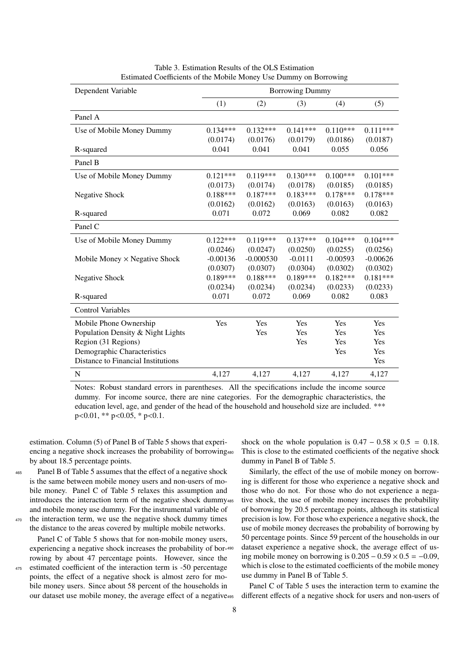| Dependent Variable                   |            |             | <b>Borrowing Dummy</b> |            |            |
|--------------------------------------|------------|-------------|------------------------|------------|------------|
|                                      | (1)        | (2)         | (3)                    | (4)        | (5)        |
| Panel A                              |            |             |                        |            |            |
| Use of Mobile Money Dummy            | $0.134***$ | $0.132***$  | $0.141***$             | $0.110***$ | $0.111***$ |
|                                      | (0.0174)   | (0.0176)    | (0.0179)               | (0.0186)   | (0.0187)   |
| R-squared                            | 0.041      | 0.041       | 0.041                  | 0.055      | 0.056      |
| Panel B                              |            |             |                        |            |            |
| Use of Mobile Money Dummy            | $0.121***$ | $0.119***$  | $0.130***$             | $0.100***$ | $0.101***$ |
|                                      | (0.0173)   | (0.0174)    | (0.0178)               | (0.0185)   | (0.0185)   |
| <b>Negative Shock</b>                | $0.188***$ | $0.187***$  | $0.183***$             | $0.178***$ | $0.178***$ |
|                                      | (0.0162)   | (0.0162)    | (0.0163)               | (0.0163)   | (0.0163)   |
| R-squared                            | 0.071      | 0.072       | 0.069                  | 0.082      | 0.082      |
| Panel C                              |            |             |                        |            |            |
| Use of Mobile Money Dummy            | $0.122***$ | $0.119***$  | $0.137***$             | $0.104***$ | $0.104***$ |
|                                      | (0.0246)   | (0.0247)    | (0.0250)               | (0.0255)   | (0.0256)   |
| Mobile Money $\times$ Negative Shock | $-0.00136$ | $-0.000530$ | $-0.0111$              | $-0.00593$ | $-0.00626$ |
|                                      | (0.0307)   | (0.0307)    | (0.0304)               | (0.0302)   | (0.0302)   |
| <b>Negative Shock</b>                | $0.189***$ | $0.188***$  | $0.189***$             | $0.182***$ | $0.181***$ |
|                                      | (0.0234)   | (0.0234)    | (0.0234)               | (0.0233)   | (0.0233)   |
| R-squared                            | 0.071      | 0.072       | 0.069                  | 0.082      | 0.083      |
| <b>Control Variables</b>             |            |             |                        |            |            |
| Mobile Phone Ownership               | Yes        | Yes         | Yes                    | Yes        | Yes        |
| Population Density & Night Lights    |            | Yes         | Yes                    | Yes        | Yes        |
| Region (31 Regions)                  |            |             | Yes                    | Yes        | Yes        |
| Demographic Characteristics          |            |             |                        | Yes        | Yes        |
| Distance to Financial Institutions   |            |             |                        |            | Yes        |
| ${\bf N}$                            | 4,127      | 4,127       | 4,127                  | 4,127      | 4,127      |

Table 3. Estimation Results of the OLS Estimation Estimated Coefficients of the Mobile Money Use Dummy on Borrowing

Notes: Robust standard errors in parentheses. All the specifications include the income source dummy. For income source, there are nine categories. For the demographic characteristics, the education level, age, and gender of the head of the household and household size are included. \*\*\*  $p<0.01$ , \*\*  $p<0.05$ , \*  $p<0.1$ .

estimation. Column (5) of Panel B of Table 5 shows that experiencing a negative shock increases the probability of borrowing by about 18.5 percentage points.

<sup>465</sup> Panel B of Table 5 assumes that the effect of a negative shock is the same between mobile money users and non-users of mobile money. Panel C of Table 5 relaxes this assumption and introduces the interaction term of the negative shock dummy and mobile money use dummy. For the instrumental variable of <sup>470</sup> the interaction term, we use the negative shock dummy times

the distance to the areas covered by multiple mobile networks.

Panel C of Table 5 shows that for non-mobile money users, experiencing a negative shock increases the probability of borrowing by about 47 percentage points. However, since the <sup>475</sup> estimated coefficient of the interaction term is -50 percentage points, the effect of a negative shock is almost zero for mobile money users. Since about 58 percent of the households in our dataset use mobile money, the average effect of a negative shock on the whole population is  $0.47 - 0.58 \times 0.5 = 0.18$ . This is close to the estimated coefficients of the negative shock dummy in Panel B of Table 5.

Similarly, the effect of the use of mobile money on borrowing is different for those who experience a negative shock and those who do not. For those who do not experience a negative shock, the use of mobile money increases the probability of borrowing by 20.5 percentage points, although its statistical precision is low. For those who experience a negative shock, the use of mobile money decreases the probability of borrowing by 50 percentage points. Since 59 percent of the households in our dataset experience a negative shock, the average effect of using mobile money on borrowing is  $0.205 - 0.59 \times 0.5 = -0.09$ , which is close to the estimated coefficients of the mobile money use dummy in Panel B of Table 5.

Panel C of Table 5 uses the interaction term to examine the different effects of a negative shock for users and non-users of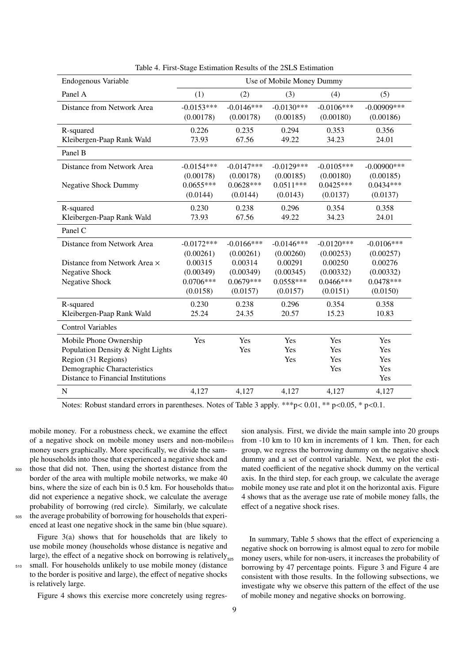| Endogenous Variable                | Use of Mobile Money Dummy |               |              |              |                |  |  |
|------------------------------------|---------------------------|---------------|--------------|--------------|----------------|--|--|
| Panel A                            | (1)                       | (2)           | (3)          | (4)          | (5)            |  |  |
| Distance from Network Area         | $-0.0153***$              | $-0.0146***$  | $-0.0130***$ | $-0.0106***$ | $-0.00909$ *** |  |  |
|                                    | (0.00178)                 | (0.00178)     | (0.00185)    | (0.00180)    | (0.00186)      |  |  |
| R-squared                          | 0.226                     | 0.235         | 0.294        | 0.353        | 0.356          |  |  |
| Kleibergen-Paap Rank Wald          | 73.93                     | 67.56         | 49.22        | 34.23        | 24.01          |  |  |
| Panel B                            |                           |               |              |              |                |  |  |
| Distance from Network Area         | $-0.0154***$              | $-0.0147***$  | $-0.0129***$ | $-0.0105***$ | $-0.00900$ *** |  |  |
|                                    | (0.00178)                 | (0.00178)     | (0.00185)    | (0.00180)    | (0.00185)      |  |  |
| <b>Negative Shock Dummy</b>        | $0.0655***$               | $0.0628***$   | $0.0511***$  | $0.0425***$  | $0.0434***$    |  |  |
|                                    | (0.0144)                  | (0.0144)      | (0.0143)     | (0.0137)     | (0.0137)       |  |  |
| R-squared                          | 0.230                     | 0.238         | 0.296        | 0.354        | 0.358          |  |  |
| Kleibergen-Paap Rank Wald          | 73.93                     | 67.56         | 49.22        | 34.23        | 24.01          |  |  |
| Panel C                            |                           |               |              |              |                |  |  |
| Distance from Network Area         | $-0.0172***$              | $-0.0166$ *** | $-0.0146***$ | $-0.0120***$ | $-0.0106***$   |  |  |
|                                    | (0.00261)                 | (0.00261)     | (0.00260)    | (0.00253)    | (0.00257)      |  |  |
| Distance from Network Area ×       | 0.00315                   | 0.00314       | 0.00291      | 0.00250      | 0.00276        |  |  |
| <b>Negative Shock</b>              | (0.00349)                 | (0.00349)     | (0.00345)    | (0.00332)    | (0.00332)      |  |  |
| <b>Negative Shock</b>              | $0.0706***$               | $0.0679***$   | $0.0558***$  | $0.0466***$  | $0.0478***$    |  |  |
|                                    | (0.0158)                  | (0.0157)      | (0.0157)     | (0.0151)     | (0.0150)       |  |  |
| R-squared                          | 0.230                     | 0.238         | 0.296        | 0.354        | 0.358          |  |  |
| Kleibergen-Paap Rank Wald          | 25.24                     | 24.35         | 20.57        | 15.23        | 10.83          |  |  |
| <b>Control Variables</b>           |                           |               |              |              |                |  |  |
| Mobile Phone Ownership             | Yes                       | Yes           | Yes          | Yes          | Yes            |  |  |
| Population Density & Night Lights  |                           | Yes           | Yes          | Yes          | Yes            |  |  |
| Region (31 Regions)                |                           |               | Yes          | Yes          | Yes            |  |  |
| Demographic Characteristics        |                           |               |              | Yes          | Yes            |  |  |
| Distance to Financial Institutions |                           |               |              |              | Yes            |  |  |
| N                                  | 4,127                     | 4,127         | 4,127        | 4,127        | 4,127          |  |  |

Table 4. First-Stage Estimation Results of the 2SLS Estimation

Notes: Robust standard errors in parentheses. Notes of Table 3 apply. \*\*\*p< 0.01, \*\* p<0.05, \* p<0.1.

mobile money. For a robustness check, we examine the effect of a negative shock on mobile money users and non-mobile money users graphically. More specifically, we divide the sample households into those that experienced a negative shock and <sup>500</sup> those that did not. Then, using the shortest distance from the border of the area with multiple mobile networks, we make 40 bins, where the size of each bin is 0.5 km. For households that s<sub>20</sub> did not experience a negative shock, we calculate the average probability of borrowing (red circle). Similarly, we calculate <sup>505</sup> the average probability of borrowing for households that experienced at least one negative shock in the same bin (blue square).

Figure 3(a) shows that for households that are likely to use mobile money (households whose distance is negative and large), the effect of a negative shock on borrowing is relatively $_{5.55}$ <sup>510</sup> small. For households unlikely to use mobile money (distance

to the border is positive and large), the effect of negative shocks is relatively large.

Figure 4 shows this exercise more concretely using regres-

sion analysis. First, we divide the main sample into 20 groups from  $-10$  km to 10 km in increments of 1 km. Then, for each group, we regress the borrowing dummy on the negative shock dummy and a set of control variable. Next, we plot the estimated coefficient of the negative shock dummy on the vertical axis. In the third step, for each group, we calculate the average mobile money use rate and plot it on the horizontal axis. Figure 4 shows that as the average use rate of mobile money falls, the effect of a negative shock rises.

In summary, Table 5 shows that the effect of experiencing a negative shock on borrowing is almost equal to zero for mobile money users, while for non-users, it increases the probability of borrowing by 47 percentage points. Figure 3 and Figure 4 are consistent with those results. In the following subsections, we investigate why we observe this pattern of the effect of the use of mobile money and negative shocks on borrowing.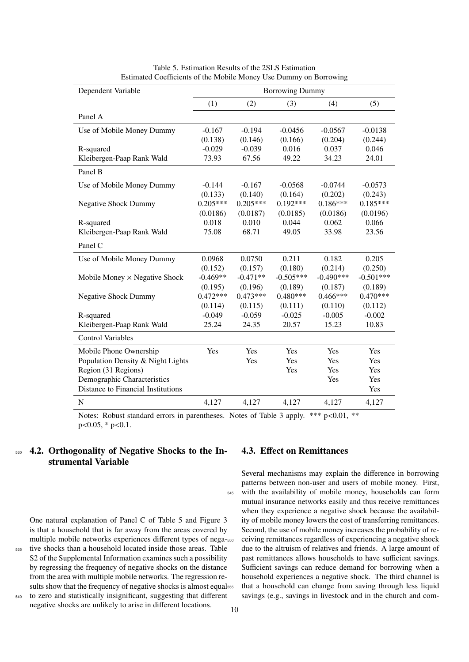| Dependent Variable                   |            |            | <b>Borrowing Dummy</b> |             |             |  |  |
|--------------------------------------|------------|------------|------------------------|-------------|-------------|--|--|
|                                      | (1)        | (2)        | (3)                    | (4)         | (5)         |  |  |
| Panel A                              |            |            |                        |             |             |  |  |
| Use of Mobile Money Dummy            | $-0.167$   | $-0.194$   | $-0.0456$              | $-0.0567$   | $-0.0138$   |  |  |
|                                      | (0.138)    | (0.146)    | (0.166)                | (0.204)     | (0.244)     |  |  |
| R-squared                            | $-0.029$   | $-0.039$   | 0.016                  | 0.037       | 0.046       |  |  |
| Kleibergen-Paap Rank Wald            | 73.93      | 67.56      | 49.22                  | 34.23       | 24.01       |  |  |
| Panel B                              |            |            |                        |             |             |  |  |
| Use of Mobile Money Dummy            | $-0.144$   | $-0.167$   | $-0.0568$              | $-0.0744$   | $-0.0573$   |  |  |
|                                      | (0.133)    | (0.140)    | (0.164)                | (0.202)     | (0.243)     |  |  |
| <b>Negative Shock Dummy</b>          | $0.205***$ | $0.205***$ | $0.192***$             | $0.186***$  | $0.185***$  |  |  |
|                                      | (0.0186)   | (0.0187)   | (0.0185)               | (0.0186)    | (0.0196)    |  |  |
| R-squared                            | 0.018      | 0.010      | 0.044                  | 0.062       | 0.066       |  |  |
| Kleibergen-Paap Rank Wald            | 75.08      | 68.71      | 49.05                  | 33.98       | 23.56       |  |  |
| Panel C                              |            |            |                        |             |             |  |  |
| Use of Mobile Money Dummy            | 0.0968     | 0.0750     | 0.211                  | 0.182       | 0.205       |  |  |
|                                      | (0.152)    | (0.157)    | (0.180)                | (0.214)     | (0.250)     |  |  |
| Mobile Money $\times$ Negative Shock | $-0.469**$ | $-0.471**$ | $-0.505***$            | $-0.490***$ | $-0.501***$ |  |  |
|                                      | (0.195)    | (0.196)    | (0.189)                | (0.187)     | (0.189)     |  |  |
| <b>Negative Shock Dummy</b>          | $0.472***$ | $0.473***$ | $0.480***$             | $0.466***$  | $0.470***$  |  |  |
|                                      | (0.114)    | (0.115)    | (0.111)                | (0.110)     | (0.112)     |  |  |
| R-squared                            | $-0.049$   | $-0.059$   | $-0.025$               | $-0.005$    | $-0.002$    |  |  |
| Kleibergen-Paap Rank Wald            | 25.24      | 24.35      | 20.57                  | 15.23       | 10.83       |  |  |
| <b>Control Variables</b>             |            |            |                        |             |             |  |  |
| Mobile Phone Ownership               | Yes        | Yes        | Yes                    | Yes         | Yes         |  |  |
| Population Density & Night Lights    |            | Yes        | Yes                    | Yes         | Yes         |  |  |
| Region (31 Regions)                  |            |            | Yes                    | Yes         | Yes         |  |  |
| Demographic Characteristics          |            |            |                        | Yes         | Yes         |  |  |
| Distance to Financial Institutions   |            |            |                        |             | Yes         |  |  |
| $\mathbf N$                          | 4,127      | 4,127      | 4,127                  | 4,127       | 4,127       |  |  |
|                                      |            |            |                        |             |             |  |  |

Table 5. Estimation Results of the 2SLS Estimation Estimated Coefficients of the Mobile Money Use Dummy on Borrowing

Notes: Robust standard errors in parentheses. Notes of Table 3 apply. \*\*\* p<0.01, \*\*  $p<0.05$ , \*  $p<0.1$ .

## <sup>530</sup> 4.2. Orthogonality of Negative Shocks to the Instrumental Variable

One natural explanation of Panel C of Table 5 and Figure 3 is that a household that is far away from the areas covered by multiple mobile networks experiences different types of nega-<sup>535</sup> tive shocks than a household located inside those areas. Table S2 of the Supplemental Information examines such a possibility by regressing the frequency of negative shocks on the distance from the area with multiple mobile networks. The regression results show that the frequency of negative shocks is almost equalsss

<sup>540</sup> to zero and statistically insignificant, suggesting that different negative shocks are unlikely to arise in different locations.

## 4.3. Effect on Remittances

Several mechanisms may explain the difference in borrowing patterns between non-user and users of mobile money. First, <sup>545</sup> with the availability of mobile money, households can form mutual insurance networks easily and thus receive remittances when they experience a negative shock because the availability of mobile money lowers the cost of transferring remittances. Second, the use of mobile money increases the probability of re-<sup>550</sup> ceiving remittances regardless of experiencing a negative shock due to the altruism of relatives and friends. A large amount of past remittances allows households to have sufficient savings. Sufficient savings can reduce demand for borrowing when a household experiences a negative shock. The third channel is that a household can change from saving through less liquid savings (e.g., savings in livestock and in the church and com-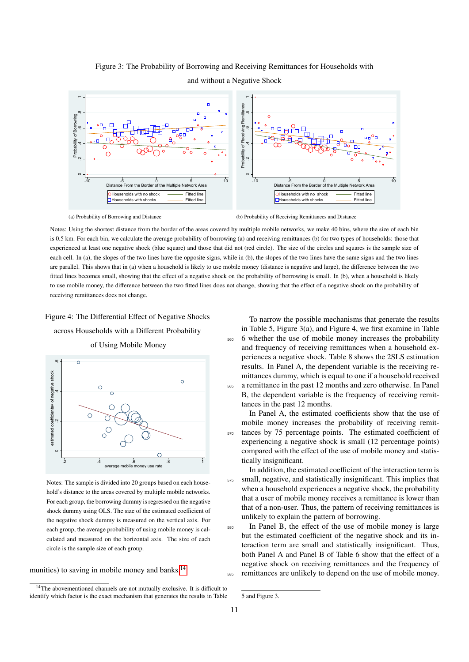

## Figure 3: The Probability of Borrowing and Receiving Remittances for Households with

and without a Negative Shock

(a) Probability of Borrowing and Distance

(b) Probability of Receiving Remittances and Distance

Notes: Using the shortest distance from the border of the areas covered by multiple mobile networks, we make 40 bins, where the size of each bin is 0.5 km. For each bin, we calculate the average probability of borrowing (a) and receiving remittances (b) for two types of households: those that experienced at least one negative shock (blue square) and those that did not (red circle). The size of the circles and squares is the sample size of each cell. In (a), the slopes of the two lines have the opposite signs, while in (b), the slopes of the two lines have the same signs and the two lines are parallel. This shows that in (a) when a household is likely to use mobile money (distance is negative and large), the difference between the two fitted lines becomes small, showing that the effect of a negative shock on the probability of borrowing is small. In (b), when a household is likely to use mobile money, the difference between the two fitted lines does not change, showing that the effect of a negative shock on the probability of receiving remittances does not change.

#### Figure 4: The Differential Effect of Negative Shocks

across Households with a Different Probability



of Using Mobile Money

Notes: The sample is divided into 20 groups based on each household's distance to the areas covered by multiple mobile networks. For each group, the borrowing dummy is regressed on the negative shock dummy using OLS. The size of the estimated coefficient of the negative shock dummy is measured on the vertical axis. For each group, the average probability of using mobile money is calculated and measured on the horizontal axis. The size of each circle is the sample size of each group.

munities) to saving in mobile money and banks.<sup>14</sup>

To narrow the possible mechanisms that generate the results in Table 5, Figure 3(a), and Figure 4, we first examine in Table <sup>560</sup> 6 whether the use of mobile money increases the probability and frequency of receiving remittances when a household experiences a negative shock. Table 8 shows the 2SLS estimation results. In Panel A, the dependent variable is the receiving remittances dummy, which is equal to one if a household received <sup>565</sup> a remittance in the past 12 months and zero otherwise. In Panel B, the dependent variable is the frequency of receiving remittances in the past 12 months.

 $\frac{1}{2}$   $\frac{1}{4}$   $\frac{6}{8}$   $\frac{1}{8}$  tically insignificant. In Panel A, the estimated coefficients show that the use of mobile money increases the probability of receiving remit-<sup>570</sup> tances by 75 percentage points. The estimated coefficient of experiencing a negative shock is small (12 percentage points) compared with the effect of the use of mobile money and statis-

average mobile money use rate In addition, the estimated coefficient of the interaction term is <sup>575</sup> small, negative, and statistically insignificant. This implies that when a household experiences a negative shock, the probability that a user of mobile money receives a remittance is lower than that of a non-user. Thus, the pattern of receiving remittances is unlikely to explain the pattern of borrowing.

> <sup>580</sup> In Panel B, the effect of the use of mobile money is large but the estimated coefficient of the negative shock and its interaction term are small and statistically insignificant. Thus, both Panel A and Panel B of Table 6 show that the effect of a negative shock on receiving remittances and the frequency of <sup>585</sup> remittances are unlikely to depend on the use of mobile money.

<sup>&</sup>lt;sup>14</sup>The abovementioned channels are not mutually exclusive. It is difficult to identify which factor is the exact mechanism that generates the results in Table

<sup>5</sup> and Figure 3.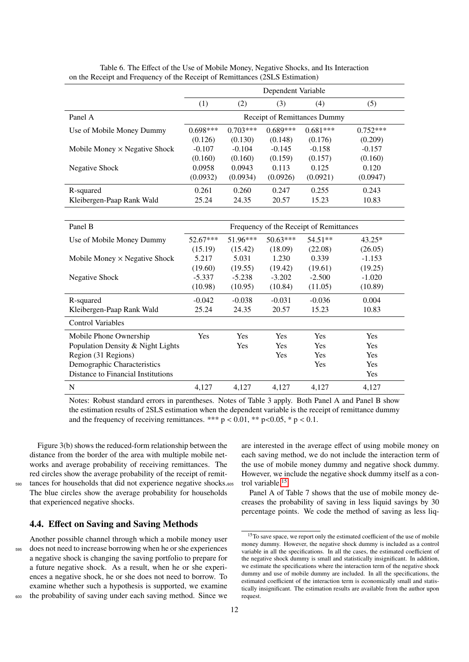|                                      | Dependent Variable |                              |            |            |            |  |  |  |
|--------------------------------------|--------------------|------------------------------|------------|------------|------------|--|--|--|
|                                      | (1)                | (2)                          | (3)        | (4)        | (5)        |  |  |  |
| Panel A                              |                    | Receipt of Remittances Dummy |            |            |            |  |  |  |
| Use of Mobile Money Dummy            | $0.698***$         | $0.703***$                   | $0.689***$ | $0.681***$ | $0.752***$ |  |  |  |
|                                      | (0.126)            | (0.130)                      | (0.148)    | (0.176)    | (0.209)    |  |  |  |
| Mobile Money $\times$ Negative Shock | $-0.107$           | $-0.104$                     | $-0.145$   | $-0.158$   | $-0.157$   |  |  |  |
|                                      | (0.160)            | (0.160)                      | (0.159)    | (0.157)    | (0.160)    |  |  |  |
| Negative Shock                       | 0.0958             | 0.0943                       | 0.113      | 0.125      | 0.120      |  |  |  |
|                                      | (0.0932)           | (0.0934)                     | (0.0926)   | (0.0921)   | (0.0947)   |  |  |  |
| R-squared                            | 0.261              | 0.260                        | 0.247      | 0.255      | 0.243      |  |  |  |
| Kleibergen-Paap Rank Wald            | 25.24              | 24.35                        | 20.57      | 15.23      | 10.83      |  |  |  |

| Table 6. The Effect of the Use of Mobile Money, Negative Shocks, and Its Interaction |  |
|--------------------------------------------------------------------------------------|--|
| on the Receipt and Frequency of the Receipt of Remittances (2SLS Estimation)         |  |

| Panel B                              | Frequency of the Receipt of Remittances |            |            |            |          |  |  |
|--------------------------------------|-----------------------------------------|------------|------------|------------|----------|--|--|
| Use of Mobile Money Dummy            | $52.67***$                              | $51.96***$ | $50.63***$ | $54.51**$  | $43.25*$ |  |  |
|                                      | (15.19)                                 | (15.42)    | (18.09)    | (22.08)    | (26.05)  |  |  |
| Mobile Money $\times$ Negative Shock | 5.217                                   | 5.031      | 1.230      | 0.339      | $-1.153$ |  |  |
|                                      | (19.60)                                 | (19.55)    | (19.42)    | (19.61)    | (19.25)  |  |  |
| Negative Shock                       | $-5.337$                                | $-5.238$   | $-3.202$   | $-2.500$   | $-1.020$ |  |  |
|                                      | (10.98)                                 | (10.95)    | (10.84)    | (11.05)    | (10.89)  |  |  |
| R-squared                            | $-0.042$                                | $-0.038$   | $-0.031$   | $-0.036$   | 0.004    |  |  |
| Kleibergen-Paap Rank Wald            | 25.24                                   | 24.35      | 20.57      | 15.23      | 10.83    |  |  |
| <b>Control Variables</b>             |                                         |            |            |            |          |  |  |
| Mobile Phone Ownership               | Yes                                     | Yes        | Yes        | <b>Yes</b> | Yes      |  |  |
| Population Density & Night Lights    |                                         | <b>Yes</b> | Yes        | <b>Yes</b> | Yes      |  |  |
| Region (31 Regions)                  |                                         |            | Yes        | <b>Yes</b> | Yes      |  |  |
| Demographic Characteristics          |                                         |            |            | <b>Yes</b> | Yes      |  |  |
| Distance to Financial Institutions   |                                         |            |            |            | Yes      |  |  |
| N                                    | 4.127                                   | 4.127      | 4.127      | 4,127      | 4,127    |  |  |

Notes: Robust standard errors in parentheses. Notes of Table 3 apply. Both Panel A and Panel B show the estimation results of 2SLS estimation when the dependent variable is the receipt of remittance dummy and the frequency of receiving remittances. \*\*\*  $p < 0.01$ , \*\*  $p < 0.05$ , \*  $p < 0.1$ .

Figure 3(b) shows the reduced-form relationship between the distance from the border of the area with multiple mobile networks and average probability of receiving remittances. The red circles show the average probability of the receipt of remit-<sup>590</sup> tances for households that did not experience negative shocks. 605 The blue circles show the average probability for households that experienced negative shocks.

### 4.4. Effect on Saving and Saving Methods

Another possible channel through which a mobile money user <sup>595</sup> does not need to increase borrowing when he or she experiences a negative shock is changing the saving portfolio to prepare for a future negative shock. As a result, when he or she experiences a negative shock, he or she does not need to borrow. To examine whether such a hypothesis is supported, we examine <sup>600</sup> the probability of saving under each saving method. Since we

are interested in the average effect of using mobile money on each saving method, we do not include the interaction term of the use of mobile money dummy and negative shock dummy. However, we include the negative shock dummy itself as a control variable.15

Panel A of Table 7 shows that the use of mobile money decreases the probability of saving in less liquid savings by 30 percentage points. We code the method of saving as less liq-

<sup>&</sup>lt;sup>15</sup>To save space, we report only the estimated coefficient of the use of mobile money dummy. However, the negative shock dummy is included as a control variable in all the specifications. In all the cases, the estimated coefficient of the negative shock dummy is small and statistically insignificant. In addition, we estimate the specifications where the interaction term of the negative shock dummy and use of mobile dummy are included. In all the specifications, the estimated coefficient of the interaction term is economically small and statistically insignificant. The estimation results are available from the author upon request.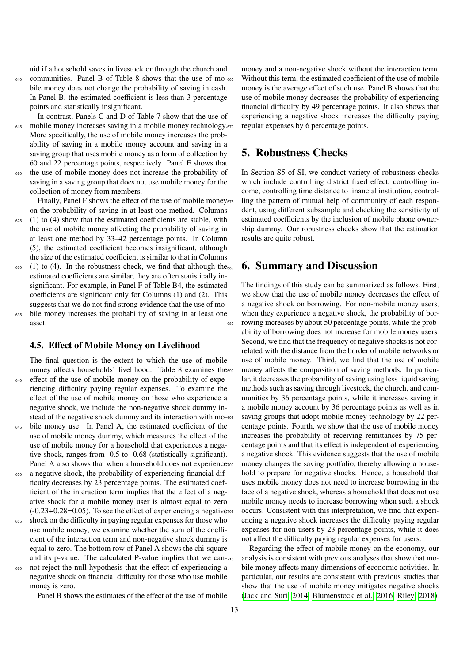uid if a household saves in livestock or through the church and <sup>610</sup> communities. Panel B of Table 8 shows that the use of mobile money does not change the probability of saving in cash. In Panel B, the estimated coefficient is less than 3 percentage points and statistically insignificant.

In contrast, Panels C and D of Table 7 show that the use of <sup>615</sup> mobile money increases saving in a mobile money technology.<sup>670</sup> More specifically, the use of mobile money increases the probability of saving in a mobile money account and saving in a saving group that uses mobile money as a form of collection by 60 and 22 percentage points, respectively. Panel E shows that the use of mobile money does not increase the probability of saving in a saving group that does not use mobile money for the collection of money from members.

Finally, Panel F shows the effect of the use of mobile money on the probability of saving in at least one method. Columns

- $625$  (1) to (4) show that the estimated coefficients are stable, with the use of mobile money affecting the probability of saving in at least one method by 33–42 percentage points. In Column (5), the estimated coefficient becomes insignificant, although the size of the estimated coefficient is similar to that in Columns
- $630$  (1) to (4). In the robustness check, we find that although the  $680$ estimated coefficients are similar, they are often statistically insignificant. For example, in Panel F of Table B4, the estimated coefficients are significant only for Columns (1) and (2). This suggests that we do not find strong evidence that the use of mo-
- <sup>635</sup> bile money increases the probability of saving in at least one asset.

#### 4.5. Effect of Mobile Money on Livelihood

The final question is the extent to which the use of mobile money affects households' livelihood. Table 8 examines the <sup>640</sup> effect of the use of mobile money on the probability of experiencing difficulty paying regular expenses. To examine the effect of the use of mobile money on those who experience a negative shock, we include the non-negative shock dummy instead of the negative shock dummy and its interaction with mo-695 <sup>645</sup> bile money use. In Panel A, the estimated coefficient of the use of mobile money dummy, which measures the effect of the

- use of mobile money for a household that experiences a negative shock, ranges from -0.5 to -0.68 (statistically significant). Panel A also shows that when a household does not experience<sup>700</sup>
- a negative shock, the probability of experiencing financial difficulty decreases by 23 percentage points. The estimated coefficient of the interaction term implies that the effect of a negative shock for a mobile money user is almost equal to zero  $(-0.23+0.28=0.05)$ . To see the effect of experiencing a negative<sub>705</sub>
- <sup>655</sup> shock on the difficulty in paying regular expenses for those who use mobile money, we examine whether the sum of the coefficient of the interaction term and non-negative shock dummy is equal to zero. The bottom row of Panel A shows the chi-square and its p-value. The calculated P-value implies that we cannot reject the null hypothesis that the effect of experiencing a negative shock on financial difficulty for those who use mobile money is zero.

Panel B shows the estimates of the effect of the use of mobile

money and a non-negative shock without the interaction term. Without this term, the estimated coefficient of the use of mobile money is the average effect of such use. Panel B shows that the use of mobile money decreases the probability of experiencing financial difficulty by 49 percentage points. It also shows that experiencing a negative shock increases the difficulty paying regular expenses by 6 percentage points.

## 5. Robustness Checks

In Section S5 of SI, we conduct variety of robustness checks which include controlling district fixed effect, controlling income, controlling time distance to financial institution, controlling the pattern of mutual help of community of each respondent, using different subsample and checking the sensitivity of estimated coefficients by the inclusion of mobile phone ownership dummy. Our robustness checks show that the estimation results are quite robust.

## 6. Summary and Discussion

The findings of this study can be summarized as follows. First, we show that the use of mobile money decreases the effect of a negative shock on borrowing. For non-mobile money users, when they experience a negative shock, the probability of borrowing increases by about 50 percentage points, while the probability of borrowing does not increase for mobile money users. Second, we find that the frequency of negative shocks is not correlated with the distance from the border of mobile networks or use of mobile money. Third, we find that the use of mobile money affects the composition of saving methods. In particular, it decreases the probability of saving using less liquid saving methods such as saving through livestock, the church, and communities by 36 percentage points, while it increases saving in a mobile money account by 36 percentage points as well as in saving groups that adopt mobile money technology by 22 percentage points. Fourth, we show that the use of mobile money increases the probability of receiving remittances by 75 percentage points and that its effect is independent of experiencing a negative shock. This evidence suggests that the use of mobile money changes the saving portfolio, thereby allowing a household to prepare for negative shocks. Hence, a household that uses mobile money does not need to increase borrowing in the face of a negative shock, whereas a household that does not use mobile money needs to increase borrowing when such a shock occurs. Consistent with this interpretation, we find that experiencing a negative shock increases the difficulty paying regular expenses for non-users by 23 percentage points, while it does not affect the difficulty paying regular expenses for users.

Regarding the effect of mobile money on the economy, our analysis is consistent with previous analyses that show that mobile money affects many dimensions of economic activities. In particular, our results are consistent with previous studies that show that the use of mobile money mitigates negative shocks (Jack and Suri, 2014; Blumenstock et al., 2016; Riley, 2018).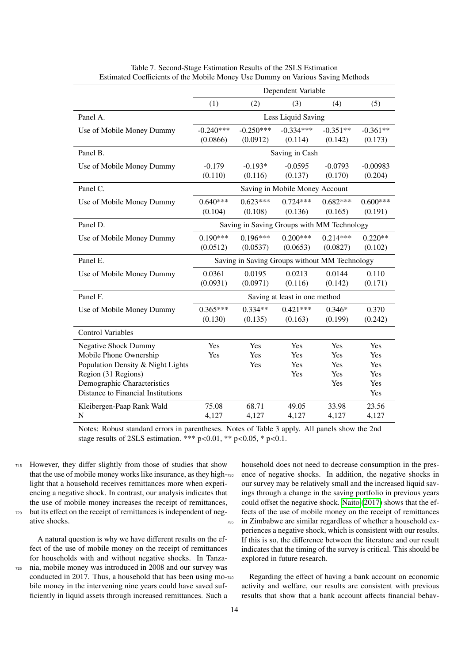|                                    |                                |                                               | Dependent Variable            |            |            |  |  |
|------------------------------------|--------------------------------|-----------------------------------------------|-------------------------------|------------|------------|--|--|
|                                    | (1)                            | (2)                                           | (3)                           | (4)        | (5)        |  |  |
| Panel A.                           |                                |                                               | Less Liquid Saving            |            |            |  |  |
| Use of Mobile Money Dummy          | $-0.240***$                    | $-0.250***$                                   | $-0.334***$                   | $-0.351**$ | $-0.361**$ |  |  |
|                                    | (0.0866)                       | (0.0912)                                      | (0.114)                       | (0.142)    | (0.173)    |  |  |
| Panel B.                           | Saving in Cash                 |                                               |                               |            |            |  |  |
| Use of Mobile Money Dummy          | $-0.179$                       | $-0.193*$                                     | $-0.0595$                     | $-0.0793$  | $-0.00983$ |  |  |
|                                    | (0.110)                        | (0.116)                                       | (0.137)                       | (0.170)    | (0.204)    |  |  |
| Panel C.                           | Saving in Mobile Money Account |                                               |                               |            |            |  |  |
| Use of Mobile Money Dummy          | $0.640***$                     | $0.623***$                                    | $0.724***$                    | $0.682***$ | $0.600***$ |  |  |
|                                    | (0.104)                        | (0.108)                                       | (0.136)                       | (0.165)    | (0.191)    |  |  |
| Panel D.                           |                                | Saving in Saving Groups with MM Technology    |                               |            |            |  |  |
| Use of Mobile Money Dummy          | $0.190***$                     | $0.196***$                                    | $0.200***$                    | $0.214***$ | $0.220**$  |  |  |
|                                    | (0.0512)                       | (0.0537)                                      | (0.0653)                      | (0.0827)   | (0.102)    |  |  |
| Panel E.                           |                                | Saving in Saving Groups without MM Technology |                               |            |            |  |  |
| Use of Mobile Money Dummy          | 0.0361                         | 0.0195                                        | 0.0213                        | 0.0144     | 0.110      |  |  |
|                                    | (0.0931)                       | (0.0971)                                      | (0.116)                       | (0.142)    | (0.171)    |  |  |
| Panel F.                           |                                |                                               | Saving at least in one method |            |            |  |  |
| Use of Mobile Money Dummy          | $0.365***$                     | $0.334**$                                     | $0.421***$                    | $0.346*$   | 0.370      |  |  |
|                                    | (0.130)                        | (0.135)                                       | (0.163)                       | (0.199)    | (0.242)    |  |  |
| <b>Control Variables</b>           |                                |                                               |                               |            |            |  |  |
| <b>Negative Shock Dummy</b>        | Yes                            | Yes                                           | Yes                           | Yes        | Yes        |  |  |
| Mobile Phone Ownership             | Yes                            | Yes                                           | Yes                           | Yes        | Yes        |  |  |
| Population Density & Night Lights  |                                | Yes                                           | Yes                           | Yes        | Yes        |  |  |
| Region (31 Regions)                |                                |                                               | Yes                           | Yes        | Yes        |  |  |
| Demographic Characteristics        |                                |                                               |                               | Yes        | Yes        |  |  |
| Distance to Financial Institutions |                                |                                               |                               |            | Yes        |  |  |
| Kleibergen-Paap Rank Wald          | 75.08                          | 68.71                                         | 49.05                         | 33.98      | 23.56      |  |  |
| N                                  | 4,127                          | 4,127                                         | 4,127                         | 4,127      | 4,127      |  |  |

Table 7. Second-Stage Estimation Results of the 2SLS Estimation Estimated Coefficients of the Mobile Money Use Dummy on Various Saving Methods

Notes: Robust standard errors in parentheses. Notes of Table 3 apply. All panels show the 2nd stage results of 2SLS estimation. \*\*\*  $p<0.01$ , \*\*  $p<0.05$ , \*  $p<0.1$ .

<sup>715</sup> However, they differ slightly from those of studies that show that the use of mobile money works like insurance, as they highlight that a household receives remittances more when experiencing a negative shock. In contrast, our analysis indicates that the use of mobile money increases the receipt of remittances, <sup>720</sup> but its effect on the receipt of remittances is independent of negative shocks.

A natural question is why we have different results on the effect of the use of mobile money on the receipt of remittances for households with and without negative shocks. In Tanza-<sup>725</sup> nia, mobile money was introduced in 2008 and our survey was conducted in 2017. Thus, a household that has been using mobile money in the intervening nine years could have saved sufficiently in liquid assets through increased remittances. Such a

household does not need to decrease consumption in the presence of negative shocks. In addition, the negative shocks in our survey may be relatively small and the increased liquid savings through a change in the saving portfolio in previous years could offset the negative shock. Naito (2017) shows that the effects of the use of mobile money on the receipt of remittances <sup>735</sup> in Zimbabwe are similar regardless of whether a household experiences a negative shock, which is consistent with our results. If this is so, the difference between the literature and our result indicates that the timing of the survey is critical. This should be explored in future research.

Regarding the effect of having a bank account on economic activity and welfare, our results are consistent with previous results that show that a bank account affects financial behav-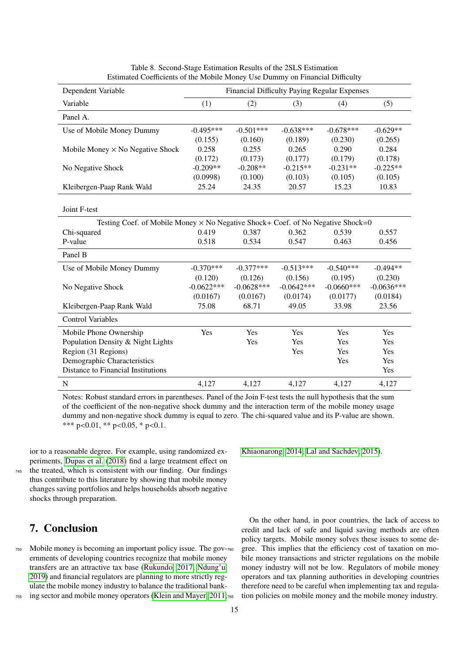| Dependent Variable                                                                     | Financial Difficulty Paying Regular Expenses |              |              |              |              |  |  |
|----------------------------------------------------------------------------------------|----------------------------------------------|--------------|--------------|--------------|--------------|--|--|
| Variable                                                                               | (1)                                          | (2)          | (3)          | (4)          | (5)          |  |  |
| Panel A.                                                                               |                                              |              |              |              |              |  |  |
| Use of Mobile Money Dummy                                                              | $-0.495***$                                  | $-0.501***$  | $-0.638***$  | $-0.678***$  | $-0.629**$   |  |  |
|                                                                                        | (0.155)                                      | (0.160)      | (0.189)      | (0.230)      | (0.265)      |  |  |
| Mobile Money $\times$ No Negative Shock                                                | 0.258                                        | 0.255        | 0.265        | 0.290        | 0.284        |  |  |
|                                                                                        | (0.172)                                      | (0.173)      | (0.177)      | (0.179)      | (0.178)      |  |  |
| No Negative Shock                                                                      | $-0.209**$                                   | $-0.208**$   | $-0.215**$   | $-0.231**$   | $-0.225**$   |  |  |
|                                                                                        | (0.0998)                                     | (0.100)      | (0.103)      | (0.105)      | (0.105)      |  |  |
| Kleibergen-Paap Rank Wald                                                              | 25.24                                        | 24.35        | 20.57        | 15.23        | 10.83        |  |  |
|                                                                                        |                                              |              |              |              |              |  |  |
| Joint F-test                                                                           |                                              |              |              |              |              |  |  |
| Testing Coef. of Mobile Money $\times$ No Negative Shock+ Coef. of No Negative Shock=0 |                                              |              |              |              |              |  |  |
| Chi-squared                                                                            | 0.419                                        | 0.387        | 0.362        | 0.539        | 0.557        |  |  |
| P-value                                                                                | 0.518                                        | 0.534        | 0.547        | 0.463        | 0.456        |  |  |
| Panel B                                                                                |                                              |              |              |              |              |  |  |
| Use of Mobile Money Dummy                                                              | $-0.370***$                                  | $-0.377***$  | $-0.513***$  | $-0.540***$  | $-0.494**$   |  |  |
|                                                                                        | (0.120)                                      | (0.126)      | (0.156)      | (0.195)      | (0.230)      |  |  |
| No Negative Shock                                                                      | $-0.0622***$                                 | $-0.0628***$ | $-0.0642***$ | $-0.0660***$ | $-0.0636***$ |  |  |
|                                                                                        | (0.0167)                                     | (0.0167)     | (0.0174)     | (0.0177)     | (0.0184)     |  |  |
| Kleibergen-Paap Rank Wald                                                              | 75.08                                        | 68.71        | 49.05        | 33.98        | 23.56        |  |  |
| <b>Control Variables</b>                                                               |                                              |              |              |              |              |  |  |
| Mobile Phone Ownership                                                                 | Yes                                          | Yes          | Yes          | Yes          | Yes          |  |  |
| Population Density & Night Lights                                                      |                                              | Yes          | Yes          | Yes          | Yes          |  |  |
| Region (31 Regions)                                                                    |                                              |              | Yes          | Yes          | Yes          |  |  |
| Demographic Characteristics                                                            |                                              |              |              | Yes          | Yes          |  |  |
| Distance to Financial Institutions                                                     |                                              |              |              |              | Yes          |  |  |
| $\mathbf N$                                                                            | 4,127                                        | 4,127        | 4,127        | 4,127        | 4,127        |  |  |

| Table 8. Second-Stage Estimation Results of the 2SLS Estimation              |
|------------------------------------------------------------------------------|
| Estimated Coefficients of the Mobile Money Use Dummy on Financial Difficulty |

Notes: Robust standard errors in parentheses. Panel of the Join F-test tests the null hypothesis that the sum of the coefficient of the non-negative shock dummy and the interaction term of the mobile money usage dummy and non-negative shock dummy is equal to zero. The chi-squared value and its P-value are shown. \*\*\* p<0.01, \*\* p<0.05, \* p<0.1.

ior to a reasonable degree. For example, using randomized experiments, Dupas et al. (2018) find a large treatment effect on <sup>745</sup> the treated, which is consistent with our finding. Our findings thus contribute to this literature by showing that mobile money changes saving portfolios and helps households absorb negative shocks through preparation.

# 7. Conclusion

<sup>750</sup> Mobile money is becoming an important policy issue. The governments of developing countries recognize that mobile money transfers are an attractive tax base (Rukundo, 2017; Ndung'u, 2019) and financial regulators are planning to more strictly regulate the mobile money industry to balance the traditional bank-

<sup>755</sup> ing sector and mobile money operators (Klein and Mayer, 2011;

Khiaonarong, 2014; Lal and Sachdev, 2015).

On the other hand, in poor countries, the lack of access to credit and lack of safe and liquid saving methods are often policy targets. Mobile money solves these issues to some degree. This implies that the efficiency cost of taxation on mobile money transactions and stricter regulations on the mobile money industry will not be low. Regulators of mobile money operators and tax planning authorities in developing countries therefore need to be careful when implementing tax and regulation policies on mobile money and the mobile money industry.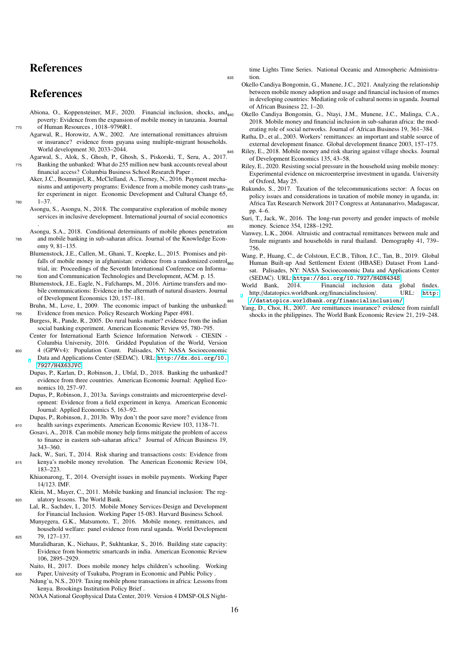# References

# **References**

- Abiona, O., Koppensteiner, M.F., 2020. Financial inclusion, shocks, and<sub>840</sub> poverty: Evidence from the expansion of mobile money in tanzania. Journal <sup>770</sup> of Human Resources , 1018–9796R1.
	- Agarwal, R., Horowitz, A.W., 2002. Are international remittances altruism or insurance? evidence from guyana using multiple-migrant households. World development 30, 2033–2044.
- Agarwal, S., Alok, S., Ghosh, P., Ghosh, S., Piskorski, T., Seru, A., 2017. <sup>775</sup> Banking the unbanked: What do 255 million new bank accounts reveal about financial access? Columbia Business School Research Paper .
	- Aker, J.C., Boumnijel, R., McClelland, A., Tierney, N., 2016. Payment mechanisms and antipoverty programs: Evidence from a mobile money cash trans-<sub>850</sub> fer experiment in niger. Economic Development and Cultural Change 65,  $1 - 37$
- Asongu, S., Asongu, N., 2018. The comparative exploration of mobile money services in inclusive development. International journal of social economics .
- Asongu, S.A., 2018. Conditional determinants of mobile phones penetration <sup>785</sup> and mobile banking in sub-saharan africa. Journal of the Knowledge Economy 9, 81–135.
- Blumenstock, J.E., Callen, M., Ghani, T., Koepke, L., 2015. Promises and pitfalls of mobile money in afghanistan: evidence from a randomized control trial, in: Proceedings of the Seventh International Conference on Informa-<sup>790</sup> tion and Communication Technologies and Development, ACM. p. 15.
- Blumenstock, J.E., Eagle, N., Fafchamps, M., 2016. Airtime transfers and mobile communications: Evidence in the aftermath of natural disasters. Journal of Development Economics 120, 157–181.
- Bruhn, M., Love, I., 2009. The economic impact of banking the unbanked: <sup>795</sup> Evidence from mexico. Policy Research Working Paper 4981.
- Burgess, R., Pande, R., 2005. Do rural banks matter? evidence from the indian social banking experiment. American Economic Review 95, 780–795. Center for International Earth Science Information Network - CIESIN -
- Columbia University, 2016. Gridded Population of the World, Version 4 (GPWv4): Population Count. Palisades, NY: NASA Socioeconomic Data and Applications Center (SEDAC). URL: [http://dx.doi.org/10.](http://dx.doi.org/10.7927/H4X63JVC)
- [7927/H4X63JVC](http://dx.doi.org/10.7927/H4X63JVC). Dupas, P., Karlan, D., Robinson, J., Ubfal, D., 2018. Banking the unbanked? evidence from three countries. American Economic Journal: Applied Eco-<sup>805</sup> nomics 10, 257–97.
- Dupas, P., Robinson, J., 2013a. Savings constraints and microenterprise development: Evidence from a field experiment in kenya. American Economic Journal: Applied Economics 5, 163–92.
- Dupas, P., Robinson, J., 2013b. Why don't the poor save more? evidence from <sup>810</sup> health savings experiments. American Economic Review 103, 1138–71.
- Gosavi, A., 2018. Can mobile money help firms mitigate the problem of access to finance in eastern sub-saharan africa? Journal of African Business 19, 343–360.
- Jack, W., Suri, T., 2014. Risk sharing and transactions costs: Evidence from <sup>815</sup> kenya's mobile money revolution. The American Economic Review 104, 183–223.
	- Khiaonarong, T., 2014. Oversight issues in mobile payments. Working Paper 14/123. IMF.
- Klein, M., Mayer, C., 2011. Mobile banking and financial inclusion: The reg-<sup>820</sup> ulatory lessons. The World Bank.
- Lal, R., Sachdev, I., 2015. Mobile Money Services-Design and Development for Financial Inclusion. Working Paper 15-083. Harvard Business School.
- Munyegera, G.K., Matsumoto, T., 2016. Mobile money, remittances, and household welfare: panel evidence from rural uganda. World Development <sup>825</sup> 79, 127–137.
- Muralidharan, K., Niehaus, P., Sukhtankar, S., 2016. Building state capacity: Evidence from biometric smartcards in india. American Economic Review 106, 2895–2929.
- Naito, H., 2017. Does mobile money helps children's schooling. Working <sup>830</sup> Paper, Univesity of Tsukuba, Program in Economic and Public Policy .
- Ndung'u, N.S., 2019. Taxing mobile phone transactions in africa: Lessons from kenya. Brookings Institution Policy Brief .

NOAA National Geophysical Data Center, 2019. Version 4 DMSP-OLS Night-

time Lights Time Series. National Oceanic and Atmospheric Administra-<sup>835</sup> tion.

- Okello Candiya Bongomin, G., Munene, J.C., 2021. Analyzing the relationship between mobile money adoption and usage and financial inclusion of msmes in developing countries: Mediating role of cultural norms in uganda. Journal of African Business 22, 1–20.
- <sup>840</sup> Okello Candiya Bongomin, G., Ntayi, J.M., Munene, J.C., Malinga, C.A., 2018. Mobile money and financial inclusion in sub-saharan africa: the moderating role of social networks. Journal of African Business 19, 361–384.
- Ratha, D., et al., 2003. Workers' remittances: an important and stable source of external development finance. Global development finance 2003, 157–175.
- Riley, E., 2018. Mobile money and risk sharing against village shocks. Journal of Development Economics 135, 43–58.
- Riley, E., 2020. Resisting social pressure in the household using mobile money: Experimental evidence on microenterprise investment in uganda. University of Oxford, May 25.
- Rukundo, S., 2017. Taxation of the telecommunications sector: A focus on policy issues and considerations in taxation of mobile money in uganda, in: Africa Tax Research Network 2017 Congress at Antananarivo, Madagascar, pp. 4–6.
- Suri, T., Jack, W., 2016. The long-run poverty and gender impacts of mobile money. Science 354, 1288-1292.
- Vanwey, L.K., 2004. Altruistic and contractual remittances between male and female migrants and households in rural thailand. Demography 41, 739– 756.
- Wang, P., Huang, C., de Colstoun, E.C.B., Tilton, J.C., Tan, B., 2019. Global <sup>860</sup> Human Built-up And Settlement Extent (HBASE) Dataset From Landsat. Palisades, NY: NASA Socioeconomic Data and Applications Center (SEDAC). URL: <https://doi.org/10.7927/H4DN434S>.
- World Bank, 2014. Financial inclusion data global findex. http://datatopics.worldbank.org/financialinclusion/. URL: [http:](http://datatopics.worldbank.org/financialinclusion/) <sup>865</sup> [//datatopics.worldbank.org/financialinclusion/](http://datatopics.worldbank.org/financialinclusion/).
- Yang, D., Choi, H., 2007. Are remittances insurance? evidence from rainfall shocks in the philippines. The World Bank Economic Review 21, 219–248.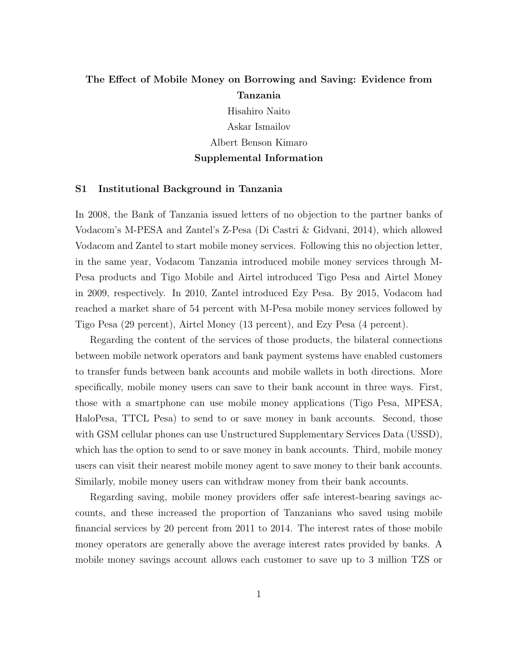# The Effect of Mobile Money on Borrowing and Saving: Evidence from Tanzania

Hisahiro Naito Askar Ismailov Albert Benson Kimaro Supplemental Information

#### S1 Institutional Background in Tanzania

In 2008, the Bank of Tanzania issued letters of no objection to the partner banks of Vodacom's M-PESA and Zantel's Z-Pesa (Di Castri & Gidvani, 2014), which allowed Vodacom and Zantel to start mobile money services. Following this no objection letter, in the same year, Vodacom Tanzania introduced mobile money services through M-Pesa products and Tigo Mobile and Airtel introduced Tigo Pesa and Airtel Money in 2009, respectively. In 2010, Zantel introduced Ezy Pesa. By 2015, Vodacom had reached a market share of 54 percent with M-Pesa mobile money services followed by Tigo Pesa (29 percent), Airtel Money (13 percent), and Ezy Pesa (4 percent).

Regarding the content of the services of those products, the bilateral connections between mobile network operators and bank payment systems have enabled customers to transfer funds between bank accounts and mobile wallets in both directions. More specifically, mobile money users can save to their bank account in three ways. First, those with a smartphone can use mobile money applications (Tigo Pesa, MPESA, HaloPesa, TTCL Pesa) to send to or save money in bank accounts. Second, those with GSM cellular phones can use Unstructured Supplementary Services Data (USSD), which has the option to send to or save money in bank accounts. Third, mobile money users can visit their nearest mobile money agent to save money to their bank accounts. Similarly, mobile money users can withdraw money from their bank accounts.

Regarding saving, mobile money providers offer safe interest-bearing savings accounts, and these increased the proportion of Tanzanians who saved using mobile financial services by 20 percent from 2011 to 2014. The interest rates of those mobile money operators are generally above the average interest rates provided by banks. A mobile money savings account allows each customer to save up to 3 million TZS or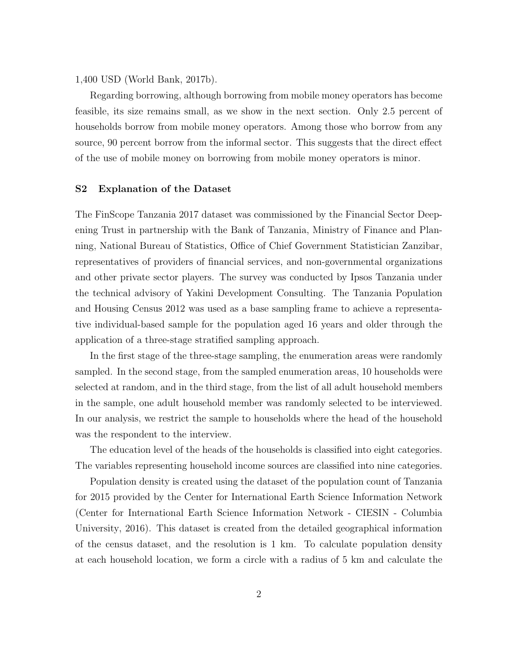1,400 USD (World Bank, 2017b).

Regarding borrowing, although borrowing from mobile money operators has become feasible, its size remains small, as we show in the next section. Only 2.5 percent of households borrow from mobile money operators. Among those who borrow from any source, 90 percent borrow from the informal sector. This suggests that the direct effect of the use of mobile money on borrowing from mobile money operators is minor.

#### S2 Explanation of the Dataset

The FinScope Tanzania 2017 dataset was commissioned by the Financial Sector Deepening Trust in partnership with the Bank of Tanzania, Ministry of Finance and Planning, National Bureau of Statistics, Office of Chief Government Statistician Zanzibar, representatives of providers of financial services, and non-governmental organizations and other private sector players. The survey was conducted by Ipsos Tanzania under the technical advisory of Yakini Development Consulting. The Tanzania Population and Housing Census 2012 was used as a base sampling frame to achieve a representative individual-based sample for the population aged 16 years and older through the application of a three-stage stratified sampling approach.

In the first stage of the three-stage sampling, the enumeration areas were randomly sampled. In the second stage, from the sampled enumeration areas, 10 households were selected at random, and in the third stage, from the list of all adult household members in the sample, one adult household member was randomly selected to be interviewed. In our analysis, we restrict the sample to households where the head of the household was the respondent to the interview.

The education level of the heads of the households is classified into eight categories. The variables representing household income sources are classified into nine categories.

Population density is created using the dataset of the population count of Tanzania for 2015 provided by the Center for International Earth Science Information Network (Center for International Earth Science Information Network - CIESIN - Columbia University, 2016). This dataset is created from the detailed geographical information of the census dataset, and the resolution is 1 km. To calculate population density at each household location, we form a circle with a radius of 5 km and calculate the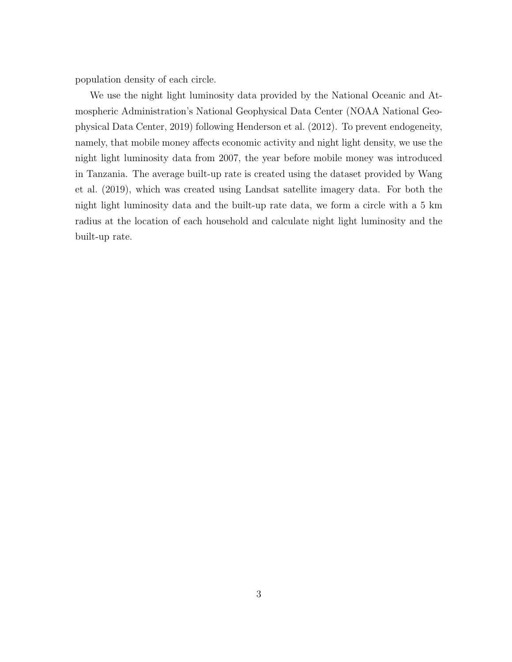population density of each circle.

We use the night light luminosity data provided by the National Oceanic and Atmospheric Administration's National Geophysical Data Center (NOAA National Geophysical Data Center, 2019) following Henderson et al. (2012). To prevent endogeneity, namely, that mobile money affects economic activity and night light density, we use the night light luminosity data from 2007, the year before mobile money was introduced in Tanzania. The average built-up rate is created using the dataset provided by Wang et al. (2019), which was created using Landsat satellite imagery data. For both the night light luminosity data and the built-up rate data, we form a circle with a 5 km radius at the location of each household and calculate night light luminosity and the built-up rate.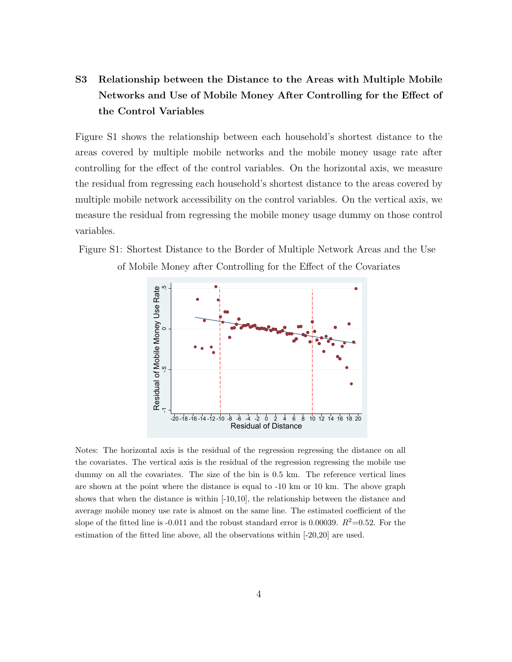# S3 Relationship between the Distance to the Areas with Multiple Mobile Networks and Use of Mobile Money After Controlling for the Effect of the Control Variables

Figure S1 shows the relationship between each household's shortest distance to the areas covered by multiple mobile networks and the mobile money usage rate after controlling for the effect of the control variables. On the horizontal axis, we measure the residual from regressing each household's shortest distance to the areas covered by multiple mobile network accessibility on the control variables. On the vertical axis, we measure the residual from regressing the mobile money usage dummy on those control variables.





Notes: The horizontal axis is the residual of the regression regressing the distance on all the covariates. The vertical axis is the residual of the regression regressing the mobile use dummy on all the covariates. The size of the bin is 0.5 km. The reference vertical lines are shown at the point where the distance is equal to -10 km or 10 km. The above graph shows that when the distance is within [-10,10], the relationship between the distance and average mobile money use rate is almost on the same line. The estimated coefficient of the slope of the fitted line is -0.011 and the robust standard error is 0.00039.  $R^2$ =0.52. For the estimation of the fitted line above, all the observations within [-20,20] are used.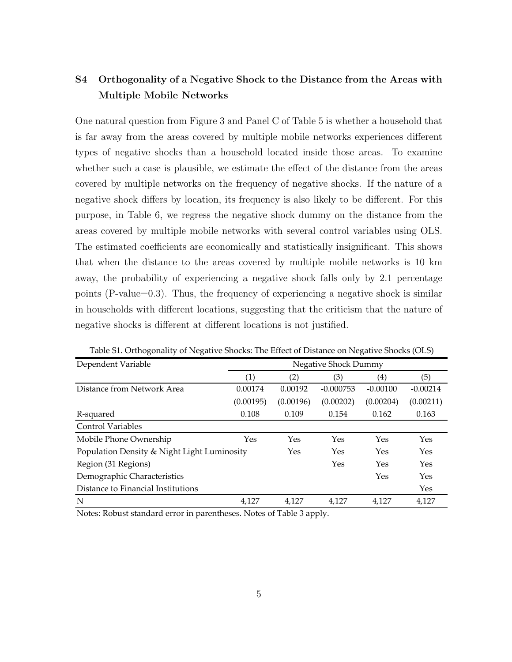# S4 Orthogonality of a Negative Shock to the Distance from the Areas with Multiple Mobile Networks

One natural question from Figure 3 and Panel C of Table 5 is whether a household that is far away from the areas covered by multiple mobile networks experiences different types of negative shocks than a household located inside those areas. To examine whether such a case is plausible, we estimate the effect of the distance from the areas covered by multiple networks on the frequency of negative shocks. If the nature of a negative shock differs by location, its frequency is also likely to be different. For this purpose, in Table 6, we regress the negative shock dummy on the distance from the areas covered by multiple mobile networks with several control variables using OLS. The estimated coefficients are economically and statistically insignificant. This shows that when the distance to the areas covered by multiple mobile networks is 10 km away, the probability of experiencing a negative shock falls only by 2.1 percentage points (P-value=0.3). Thus, the frequency of experiencing a negative shock is similar in households with different locations, suggesting that the criticism that the nature of negative shocks is different at different locations is not justified.

| Dependent Variable                          | Negative Shock Dummy |           |             |            |            |  |
|---------------------------------------------|----------------------|-----------|-------------|------------|------------|--|
|                                             | (1)                  | (2)       | (3)         | (4)        | (5)        |  |
| Distance from Network Area                  | 0.00174              | 0.00192   | $-0.000753$ | $-0.00100$ | $-0.00214$ |  |
|                                             | (0.00195)            | (0.00196) | (0.00202)   | (0.00204)  | (0.00211)  |  |
| R-squared                                   | 0.108                | 0.109     | 0.154       | 0.162      | 0.163      |  |
| <b>Control Variables</b>                    |                      |           |             |            |            |  |
| Mobile Phone Ownership                      | Yes                  | Yes       | Yes         | Yes        | Yes        |  |
| Population Density & Night Light Luminosity |                      | Yes       | Yes         | Yes        | Yes        |  |
| Region (31 Regions)                         |                      |           | Yes         | Yes        | Yes        |  |
| Demographic Characteristics                 |                      |           |             | Yes        | Yes        |  |
| Distance to Financial Institutions          |                      |           |             |            | Yes        |  |
| N                                           | 4,127                | 4,127     | 4,127       | 4,127      | 4,127      |  |

Table S1. Orthogonality of Negative Shocks: The Effect of Distance on Negative Shocks (OLS)

Notes: Robust standard error in parentheses. Notes of Table 3 apply.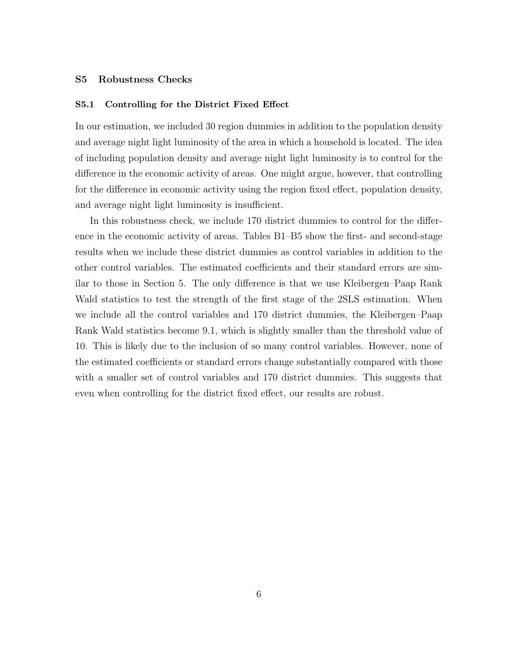#### S5 Robustness Checks

### S5.1 Controlling for the District Fixed Effect

In our estimation, we included 30 region dummies in addition to the population density and average night light luminosity of the area in which a household is located. The idea of including population density and average night light luminosity is to control for the difference in the economic activity of areas. One might argue, however, that controlling for the difference in economic activity using the region fixed effect, population density, and average night light luminosity is insufficient.

In this robustness check, we include 170 district dummies to control for the difference in the economic activity of areas. Tables B1–B5 show the first- and second-stage results when we include these district dummies as control variables in addition to the other control variables. The estimated coefficients and their standard errors are similar to those in Section 5. The only difference is that we use Kleibergen–Paap Rank Wald statistics to test the strength of the first stage of the 2SLS estimation. When we include all the control variables and 170 district dummies, the Kleibergen–Paap Rank Wald statistics become 9.1, which is slightly smaller than the threshold value of 10. This is likely due to the inclusion of so many control variables. However, none of the estimated coefficients or standard errors change substantially compared with those with a smaller set of control variables and 170 district dummies. This suggests that even when controlling for the district fixed effect, our results are robust.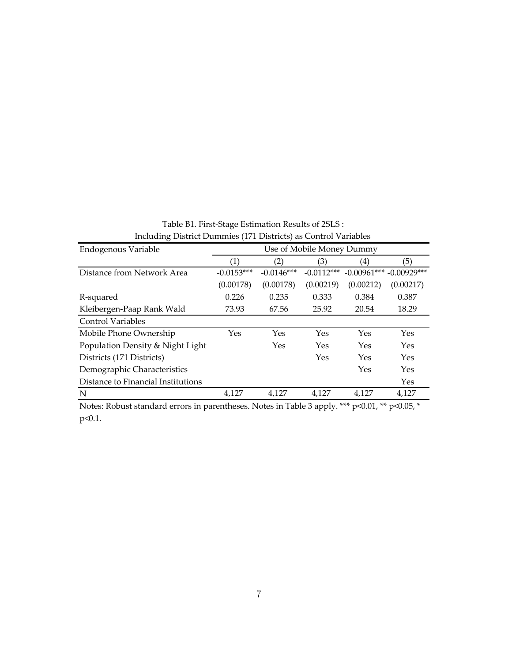| mentumly District Dummies (171 Districts) as Control Variables |                   |              |                           |                   |               |  |  |
|----------------------------------------------------------------|-------------------|--------------|---------------------------|-------------------|---------------|--|--|
| Endogenous Variable                                            |                   |              | Use of Mobile Money Dummy |                   |               |  |  |
|                                                                | $\left( 1\right)$ | (2)          | (3)                       | $\left( 4\right)$ | (5)           |  |  |
| Distance from Network Area                                     | $-0.0153***$      | $-0.0146***$ | $-0.0112***$              | $-0.00961***$     | $-0.00929***$ |  |  |
|                                                                | (0.00178)         | (0.00178)    | (0.00219)                 | (0.00212)         | (0.00217)     |  |  |
| R-squared                                                      | 0.226             | 0.235        | 0.333                     | 0.384             | 0.387         |  |  |
| Kleibergen-Paap Rank Wald                                      | 73.93             | 67.56        | 25.92                     | 20.54             | 18.29         |  |  |
| <b>Control Variables</b>                                       |                   |              |                           |                   |               |  |  |
| Mobile Phone Ownership                                         | Yes               | Yes          | Yes                       | Yes               | Yes           |  |  |
| Population Density & Night Light                               |                   | Yes          | Yes                       | Yes               | Yes           |  |  |
| Districts (171 Districts)                                      |                   |              | Yes                       | Yes               | Yes           |  |  |
| Demographic Characteristics                                    |                   |              |                           | Yes               | Yes           |  |  |
| Distance to Financial Institutions                             |                   |              |                           |                   | Yes           |  |  |
| N                                                              | 4,127             | 4,127        | 4,127                     | 4,127             | 4,127         |  |  |

Table B1. First‐Stage Estimation Results of 2SLS : Including District Dummies (171 Districts) as Control Variables

Notes: Robust standard errors in parentheses. Notes in Table 3 apply. \*\*\* p<0.01, \*\* p<0.05, \* p<0.1.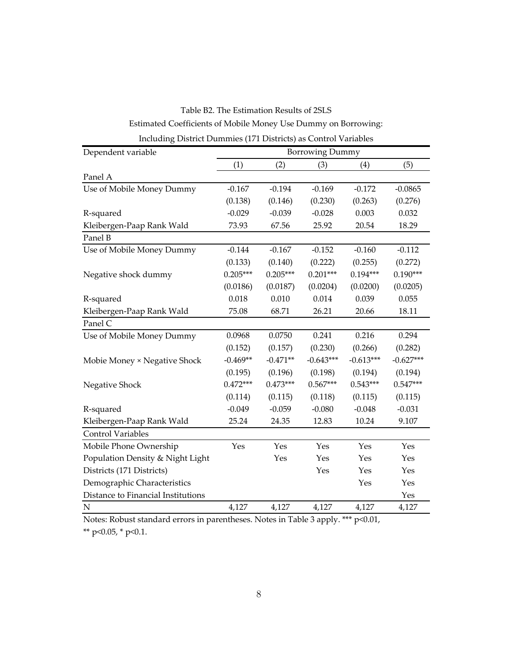Estimated Coefficients of Mobile Money Use Dummy on Borrowing: Table B2. The Estimation Results of 2SLS Including District Dummies (171 Districts) as Control Variables

| Dependent variable                 |            |            | <b>Borrowing Dummy</b> |             |             |
|------------------------------------|------------|------------|------------------------|-------------|-------------|
|                                    | (1)        | (2)        | (3)                    | (4)         | (5)         |
| Panel A                            |            |            |                        |             |             |
| Use of Mobile Money Dummy          | $-0.167$   | $-0.194$   | $-0.169$               | $-0.172$    | $-0.0865$   |
|                                    | (0.138)    | (0.146)    | (0.230)                | (0.263)     | (0.276)     |
| R-squared                          | $-0.029$   | $-0.039$   | $-0.028$               | 0.003       | 0.032       |
| Kleibergen-Paap Rank Wald          | 73.93      | 67.56      | 25.92                  | 20.54       | 18.29       |
| Panel B                            |            |            |                        |             |             |
| Use of Mobile Money Dummy          | $-0.144$   | $-0.167$   | $-0.152$               | $-0.160$    | $-0.112$    |
|                                    | (0.133)    | (0.140)    | (0.222)                | (0.255)     | (0.272)     |
| Negative shock dummy               | $0.205***$ | $0.205***$ | $0.201***$             | $0.194***$  | $0.190***$  |
|                                    | (0.0186)   | (0.0187)   | (0.0204)               | (0.0200)    | (0.0205)    |
| R-squared                          | 0.018      | 0.010      | 0.014                  | 0.039       | 0.055       |
| Kleibergen-Paap Rank Wald          | 75.08      | 68.71      | 26.21                  | 20.66       | 18.11       |
| Panel C                            |            |            |                        |             |             |
| Use of Mobile Money Dummy          | 0.0968     | 0.0750     | 0.241                  | 0.216       | 0.294       |
|                                    | (0.152)    | (0.157)    | (0.230)                | (0.266)     | (0.282)     |
| Mobie Money × Negative Shock       | $-0.469**$ | $-0.471**$ | $-0.643***$            | $-0.613***$ | $-0.627***$ |
|                                    | (0.195)    | (0.196)    | (0.198)                | (0.194)     | (0.194)     |
| Negative Shock                     | $0.472***$ | $0.473***$ | $0.567***$             | $0.543***$  | $0.547***$  |
|                                    | (0.114)    | (0.115)    | (0.118)                | (0.115)     | (0.115)     |
| R-squared                          | $-0.049$   | $-0.059$   | $-0.080$               | $-0.048$    | $-0.031$    |
| Kleibergen-Paap Rank Wald          | 25.24      | 24.35      | 12.83                  | 10.24       | 9.107       |
| <b>Control Variables</b>           |            |            |                        |             |             |
| Mobile Phone Ownership             | Yes        | Yes        | Yes                    | Yes         | Yes         |
| Population Density & Night Light   |            | Yes        | Yes                    | Yes         | Yes         |
| Districts (171 Districts)          |            |            | Yes                    | Yes         | Yes         |
| Demographic Characteristics        |            |            |                        | Yes         | Yes         |
| Distance to Financial Institutions |            |            |                        |             | Yes         |
| $\mathbf N$                        | 4,127      | 4,127      | 4,127                  | 4,127       | 4,127       |

Notes: Robust standard errors in parentheses. Notes in Table 3 apply. \*\*\* p<0.01, \*\* p<0.05, \* p<0.1.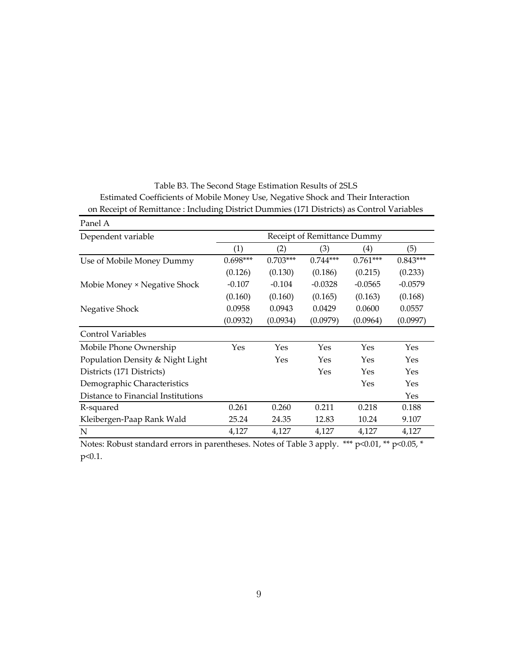| Panel A                            |                             |            |            |            |            |  |
|------------------------------------|-----------------------------|------------|------------|------------|------------|--|
| Dependent variable                 | Receipt of Remittance Dummy |            |            |            |            |  |
|                                    | (1)                         | (2)        | (3)        | (4)        | (5)        |  |
| Use of Mobile Money Dummy          | $0.698***$                  | $0.703***$ | $0.744***$ | $0.761***$ | $0.843***$ |  |
|                                    | (0.126)                     | (0.130)    | (0.186)    | (0.215)    | (0.233)    |  |
| Mobie Money × Negative Shock       | $-0.107$                    | $-0.104$   | $-0.0328$  | $-0.0565$  | $-0.0579$  |  |
|                                    | (0.160)                     | (0.160)    | (0.165)    | (0.163)    | (0.168)    |  |
| Negative Shock                     | 0.0958                      | 0.0943     | 0.0429     | 0.0600     | 0.0557     |  |
|                                    | (0.0932)                    | (0.0934)   | (0.0979)   | (0.0964)   | (0.0997)   |  |
| <b>Control Variables</b>           |                             |            |            |            |            |  |
| Mobile Phone Ownership             | Yes                         | Yes        | Yes        | Yes        | Yes        |  |
| Population Density & Night Light   |                             | Yes        | Yes        | Yes        | Yes        |  |
| Districts (171 Districts)          |                             |            | Yes        | Yes        | Yes        |  |
| Demographic Characteristics        |                             |            |            | Yes        | Yes        |  |
| Distance to Financial Institutions |                             |            |            |            | Yes        |  |
| R-squared                          | 0.261                       | 0.260      | 0.211      | 0.218      | 0.188      |  |
| Kleibergen-Paap Rank Wald          | 25.24                       | 24.35      | 12.83      | 10.24      | 9.107      |  |
| N                                  | 4,127                       | 4,127      | 4,127      | 4,127      | 4,127      |  |

Estimated Coefficients of Mobile Money Use, Negative Shock and Their Interaction Table B3. The Second Stage Estimation Results of 2SLS on Receipt of Remittance : Including District Dummies (171 Districts) as Control Variables

Notes: Robust standard errors in parentheses. Notes of Table 3 apply. **\*\*\*** p<0.01, **\*\*** p<0.05, **\*** p<0.1.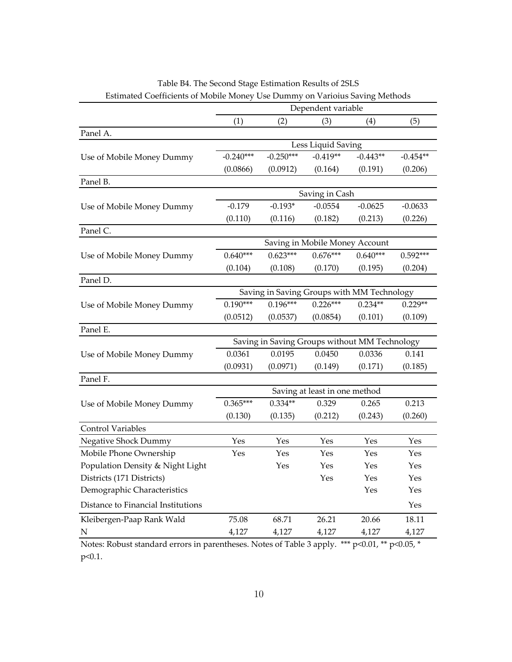|                                    | Dependent variable                         |                                               |                                |            |                      |  |
|------------------------------------|--------------------------------------------|-----------------------------------------------|--------------------------------|------------|----------------------|--|
|                                    | (1)                                        | (2)                                           | (3)                            | (4)        | (5)                  |  |
| Panel A.                           |                                            |                                               |                                |            |                      |  |
|                                    |                                            |                                               | Less Liquid Saving             |            |                      |  |
| Use of Mobile Money Dummy          | $-0.240***$                                | $-0.250***$                                   | $-0.419**$                     | $-0.443**$ | $-0.454**$           |  |
|                                    | (0.0866)                                   | (0.0912)                                      | (0.164)                        | (0.191)    | (0.206)              |  |
| Panel B.                           |                                            |                                               |                                |            |                      |  |
|                                    |                                            |                                               | Saving in Cash                 |            |                      |  |
| Use of Mobile Money Dummy          | $-0.179$                                   | $-0.193*$                                     | $-0.0554$                      | $-0.0625$  | $-0.0633$            |  |
|                                    | (0.110)                                    | (0.116)                                       | (0.182)                        | (0.213)    | (0.226)              |  |
| Panel C.                           |                                            |                                               |                                |            |                      |  |
|                                    |                                            |                                               | Saving in Mobile Money Account |            |                      |  |
| Use of Mobile Money Dummy          | $0.640***$                                 | $0.623***$                                    | $0.676***$                     | $0.640***$ | $0.592***$           |  |
|                                    | (0.104)                                    | (0.108)                                       | (0.170)                        | (0.195)    | (0.204)              |  |
| Panel D.                           |                                            |                                               |                                |            |                      |  |
|                                    | Saving in Saving Groups with MM Technology |                                               |                                |            |                      |  |
| Use of Mobile Money Dummy          | $0.190***$                                 | $0.196***$                                    | $0.226***$                     | $0.234**$  | $0.229**$            |  |
|                                    | (0.0512)                                   | (0.0537)                                      | (0.0854)                       | (0.101)    | (0.109)              |  |
| Panel E.                           |                                            |                                               |                                |            |                      |  |
|                                    |                                            | Saving in Saving Groups without MM Technology |                                |            |                      |  |
| Use of Mobile Money Dummy          | 0.0361                                     | 0.0195                                        | 0.0450                         | 0.0336     | 0.141                |  |
|                                    | (0.0931)                                   | (0.0971)                                      | (0.149)                        | (0.171)    | (0.185)              |  |
| Panel F.                           |                                            |                                               |                                |            |                      |  |
|                                    |                                            |                                               | Saving at least in one method  |            |                      |  |
| Use of Mobile Money Dummy          | $0.365***$                                 | $0.334**$                                     | 0.329                          | 0.265      | 0.213                |  |
|                                    | (0.130)                                    | (0.135)                                       | (0.212)                        | (0.243)    | (0.260)              |  |
| <b>Control Variables</b>           |                                            |                                               |                                |            |                      |  |
| Negative Shock Dummy               | Yes                                        | Yes                                           | Yes                            | Yes        | $\operatorname{Yes}$ |  |
| Mobile Phone Ownership             | Yes                                        | Yes                                           | Yes                            | Yes        | Yes                  |  |
| Population Density & Night Light   |                                            | Yes                                           | Yes                            | Yes        | Yes                  |  |
| Districts (171 Districts)          |                                            |                                               | Yes                            | Yes        | Yes                  |  |
| Demographic Characteristics        |                                            |                                               |                                | Yes        | Yes                  |  |
| Distance to Financial Institutions |                                            |                                               |                                |            | Yes                  |  |
| Kleibergen-Paap Rank Wald          | 75.08                                      | 68.71                                         | 26.21                          | 20.66      | 18.11                |  |
| ${\bf N}$                          | 4,127                                      | 4,127                                         | 4,127                          | 4,127      | 4,127                |  |
|                                    |                                            |                                               |                                |            |                      |  |

Table B4. The Second Stage Estimation Results of 2SLS Estimated Coefficients of Mobile Money Use Dummy on Varioius Saving Methods

Notes: Robust standard errors in parentheses. Notes of Table 3 apply. \*\*\* p<0.01, \*\* p<0.05, \* p<0.1.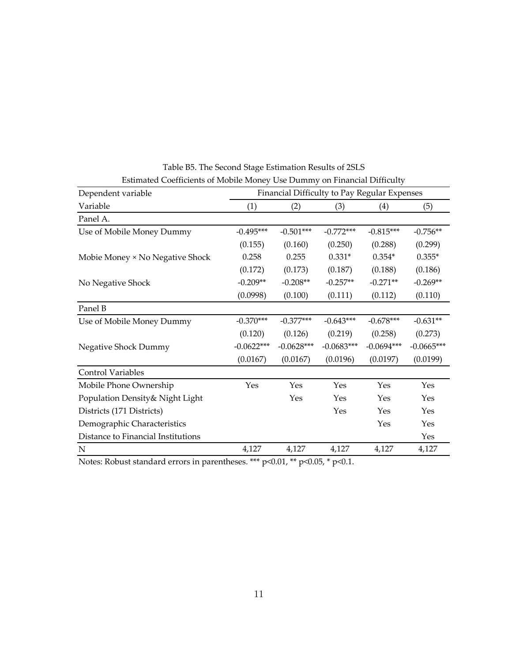| Dependent variable                 | Financial Difficulty to Pay Regular Expenses |              |              |                   |              |
|------------------------------------|----------------------------------------------|--------------|--------------|-------------------|--------------|
| Variable                           | (1)                                          | (2)          | (3)          | $\left( 4\right)$ | (5)          |
| Panel A.                           |                                              |              |              |                   |              |
| Use of Mobile Money Dummy          | $-0.495***$                                  | $-0.501***$  | $-0.772***$  | $-0.815***$       | $-0.756**$   |
|                                    | (0.155)                                      | (0.160)      | (0.250)      | (0.288)           | (0.299)      |
| Mobie Money × No Negative Shock    | 0.258                                        | 0.255        | $0.331*$     | $0.354*$          | $0.355*$     |
|                                    | (0.172)                                      | (0.173)      | (0.187)      | (0.188)           | (0.186)      |
| No Negative Shock                  | $-0.209**$                                   | $-0.208**$   | $-0.257**$   | $-0.271**$        | $-0.269**$   |
|                                    | (0.0998)                                     | (0.100)      | (0.111)      | (0.112)           | (0.110)      |
| Panel B                            |                                              |              |              |                   |              |
| Use of Mobile Money Dummy          | $-0.370***$                                  | $-0.377***$  | $-0.643***$  | $-0.678***$       | $-0.631**$   |
|                                    | (0.120)                                      | (0.126)      | (0.219)      | (0.258)           | (0.273)      |
| Negative Shock Dummy               | $-0.0622***$                                 | $-0.0628***$ | $-0.0683***$ | $-0.0694***$      | $-0.0665***$ |
|                                    | (0.0167)                                     | (0.0167)     | (0.0196)     | (0.0197)          | (0.0199)     |
| <b>Control Variables</b>           |                                              |              |              |                   |              |
| Mobile Phone Ownership             | Yes                                          | Yes          | Yes          | Yes               | Yes          |
| Population Density& Night Light    |                                              | Yes          | Yes          | Yes               | Yes          |
| Districts (171 Districts)          |                                              |              | Yes          | Yes               | Yes          |
| Demographic Characteristics        |                                              |              |              | Yes               | Yes          |
| Distance to Financial Institutions |                                              |              |              |                   | Yes          |
| N                                  | 4,127                                        | 4,127        | 4,127        | 4,127             | 4,127        |

Table B5. The Second Stage Estimation Results of 2SLS Estimated Coefficients of Mobile Money Use Dummy on Financial Difficulty

Notes: Robust standard errors in parentheses. \*\*\* p<0.01, \*\* p<0.05, \* p<0.1.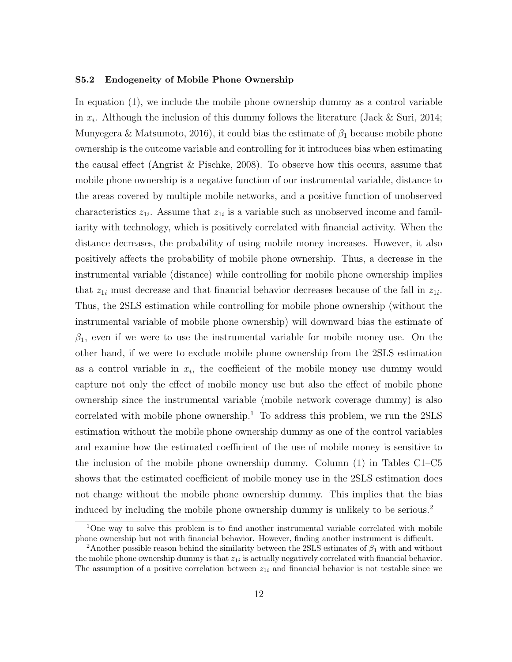#### S5.2 Endogeneity of Mobile Phone Ownership

In equation (1), we include the mobile phone ownership dummy as a control variable in  $x_i$ . Although the inclusion of this dummy follows the literature (Jack & Suri, 2014; Munyegera & Matsumoto, 2016), it could bias the estimate of  $\beta_1$  because mobile phone ownership is the outcome variable and controlling for it introduces bias when estimating the causal effect (Angrist & Pischke, 2008). To observe how this occurs, assume that mobile phone ownership is a negative function of our instrumental variable, distance to the areas covered by multiple mobile networks, and a positive function of unobserved characteristics  $z_{1i}$ . Assume that  $z_{1i}$  is a variable such as unobserved income and familiarity with technology, which is positively correlated with financial activity. When the distance decreases, the probability of using mobile money increases. However, it also positively affects the probability of mobile phone ownership. Thus, a decrease in the instrumental variable (distance) while controlling for mobile phone ownership implies that  $z_{1i}$  must decrease and that financial behavior decreases because of the fall in  $z_{1i}$ . Thus, the 2SLS estimation while controlling for mobile phone ownership (without the instrumental variable of mobile phone ownership) will downward bias the estimate of  $\beta_1$ , even if we were to use the instrumental variable for mobile money use. On the other hand, if we were to exclude mobile phone ownership from the 2SLS estimation as a control variable in  $x_i$ , the coefficient of the mobile money use dummy would capture not only the effect of mobile money use but also the effect of mobile phone ownership since the instrumental variable (mobile network coverage dummy) is also correlated with mobile phone ownership.<sup>1</sup> To address this problem, we run the  $2SLS$ estimation without the mobile phone ownership dummy as one of the control variables and examine how the estimated coefficient of the use of mobile money is sensitive to the inclusion of the mobile phone ownership dummy. Column (1) in Tables C1–C5 shows that the estimated coefficient of mobile money use in the 2SLS estimation does not change without the mobile phone ownership dummy. This implies that the bias induced by including the mobile phone ownership dummy is unlikely to be serious.<sup>2</sup>

<sup>&</sup>lt;sup>1</sup>One way to solve this problem is to find another instrumental variable correlated with mobile phone ownership but not with financial behavior. However, finding another instrument is difficult.

<sup>&</sup>lt;sup>2</sup>Another possible reason behind the similarity between the 2SLS estimates of  $\beta_1$  with and without the mobile phone ownership dummy is that  $z_{1i}$  is actually negatively correlated with financial behavior. The assumption of a positive correlation between  $z_{1i}$  and financial behavior is not testable since we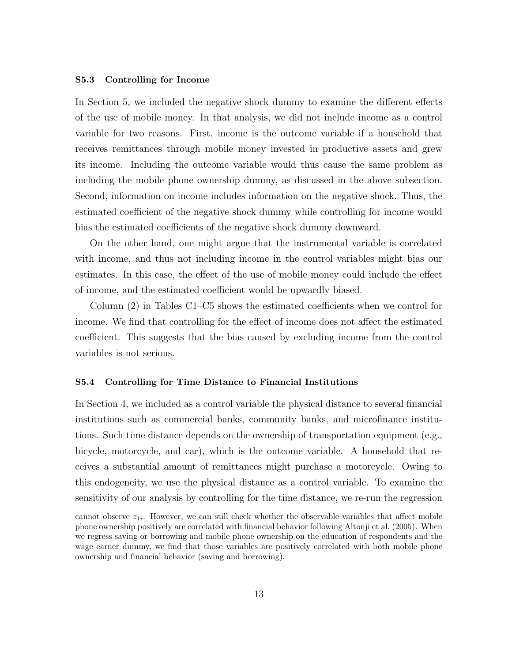#### S5.3 Controlling for Income

In Section 5, we included the negative shock dummy to examine the different effects of the use of mobile money. In that analysis, we did not include income as a control variable for two reasons. First, income is the outcome variable if a household that receives remittances through mobile money invested in productive assets and grew its income. Including the outcome variable would thus cause the same problem as including the mobile phone ownership dummy, as discussed in the above subsection. Second, information on income includes information on the negative shock. Thus, the estimated coefficient of the negative shock dummy while controlling for income would bias the estimated coefficients of the negative shock dummy downward.

On the other hand, one might argue that the instrumental variable is correlated with income, and thus not including income in the control variables might bias our estimates. In this case, the effect of the use of mobile money could include the effect of income, and the estimated coefficient would be upwardly biased.

Column (2) in Tables C1–C5 shows the estimated coefficients when we control for income. We find that controlling for the effect of income does not affect the estimated coefficient. This suggests that the bias caused by excluding income from the control variables is not serious.

### S5.4 Controlling for Time Distance to Financial Institutions

In Section 4, we included as a control variable the physical distance to several financial institutions such as commercial banks, community banks, and microfinance institutions. Such time distance depends on the ownership of transportation equipment (e.g., bicycle, motorcycle, and car), which is the outcome variable. A household that receives a substantial amount of remittances might purchase a motorcycle. Owing to this endogeneity, we use the physical distance as a control variable. To examine the sensitivity of our analysis by controlling for the time distance, we re-run the regression

cannot observe  $z_{1i}$ . However, we can still check whether the observable variables that affect mobile phone ownership positively are correlated with financial behavior following Altonji et al. (2005). When we regress saving or borrowing and mobile phone ownership on the education of respondents and the wage earner dummy, we find that those variables are positively correlated with both mobile phone ownership and financial behavior (saving and borrowing).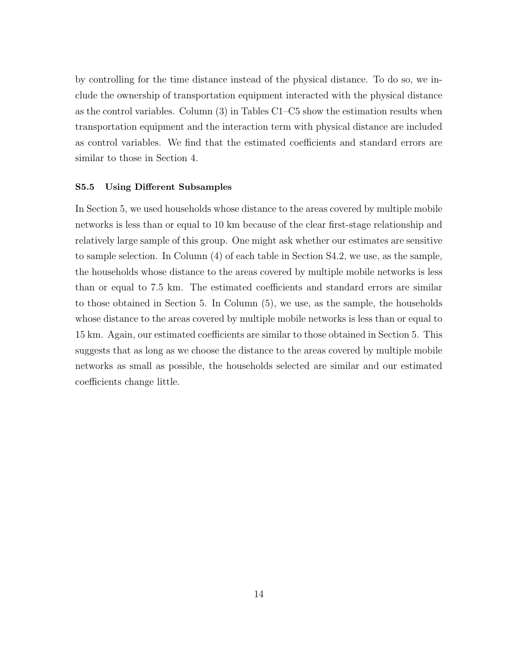by controlling for the time distance instead of the physical distance. To do so, we include the ownership of transportation equipment interacted with the physical distance as the control variables. Column (3) in Tables C1–C5 show the estimation results when transportation equipment and the interaction term with physical distance are included as control variables. We find that the estimated coefficients and standard errors are similar to those in Section 4.

#### S5.5 Using Different Subsamples

In Section 5, we used households whose distance to the areas covered by multiple mobile networks is less than or equal to 10 km because of the clear first-stage relationship and relatively large sample of this group. One might ask whether our estimates are sensitive to sample selection. In Column (4) of each table in Section S4.2, we use, as the sample, the households whose distance to the areas covered by multiple mobile networks is less than or equal to 7.5 km. The estimated coefficients and standard errors are similar to those obtained in Section 5. In Column (5), we use, as the sample, the households whose distance to the areas covered by multiple mobile networks is less than or equal to 15 km. Again, our estimated coefficients are similar to those obtained in Section 5. This suggests that as long as we choose the distance to the areas covered by multiple mobile networks as small as possible, the households selected are similar and our estimated coefficients change little.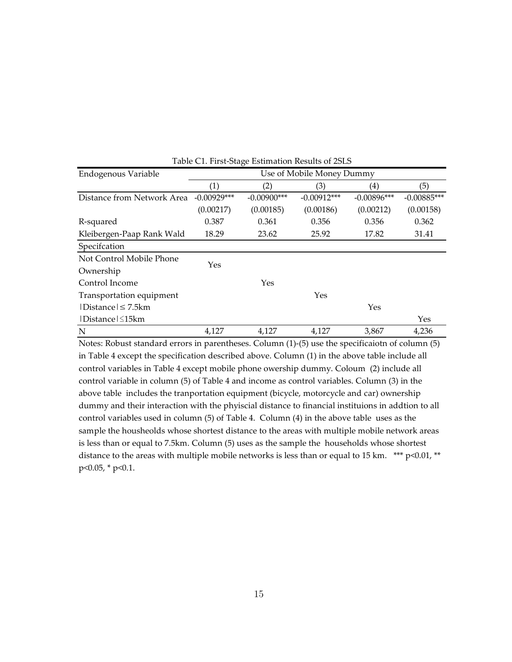|                            |                           | $\mathbf \sigma$  |               |                     |               |  |  |
|----------------------------|---------------------------|-------------------|---------------|---------------------|---------------|--|--|
| Endogenous Variable        | Use of Mobile Money Dummy |                   |               |                     |               |  |  |
|                            | $\left( 1\right)$         | $\left( 2\right)$ | (3)           | $\scriptstyle{(4)}$ | (5)           |  |  |
| Distance from Network Area | $-0.00929***$             | $-0.00900$ ***    | $-0.00912***$ | $-0.00896***$       | $-0.00885***$ |  |  |
|                            | (0.00217)                 | (0.00185)         | (0.00186)     | (0.00212)           | (0.00158)     |  |  |
| R-squared                  | 0.387                     | 0.361             | 0.356         | 0.356               | 0.362         |  |  |
| Kleibergen-Paap Rank Wald  | 18.29                     | 23.62             | 25.92         | 17.82               | 31.41         |  |  |
| Specifcation               |                           |                   |               |                     |               |  |  |
| Not Control Mobile Phone   | Yes                       |                   |               |                     |               |  |  |
| Ownership                  |                           |                   |               |                     |               |  |  |
| Control Income             |                           | Yes               |               |                     |               |  |  |
| Transportation equipment   |                           |                   | Yes           |                     |               |  |  |
| Distance  ≤ 7.5km          |                           |                   |               | Yes                 |               |  |  |
| Distance   ≤15km           |                           |                   |               |                     | Yes           |  |  |
| N                          | 4,127                     | 4,127             | 4,127         | 3,867               | 4,236         |  |  |

Table C1. First-Stage Estimation Results of 2SLS

Notes: Robust standard errors in parentheses. Column (1)-(5) use the specificaiotn of column (5) in Table 4 except the specification described above. Column (1) in the above table include all control variables in Table 4 except mobile phone owership dummy. Coloum (2) include all control variable in column (5) of Table 4 and income as control variables. Column (3) in the above table includes the tranportation equipment (bicycle, motorcycle and car) ownership dummy and their interaction with the phyiscial distance to financial instituions in addtion to all control variables used in column (5) of Table 4. Column (4) in the above table uses as the sample the housheolds whose shortest distance to the areas with multiple mobile network areas is less than or equal to 7.5km. Column (5) uses as the sample the households whose shortest distance to the areas with multiple mobile networks is less than or equal to 15 km. \*\*\* p<0.01, \*\* p<0.05, \* p<0.1.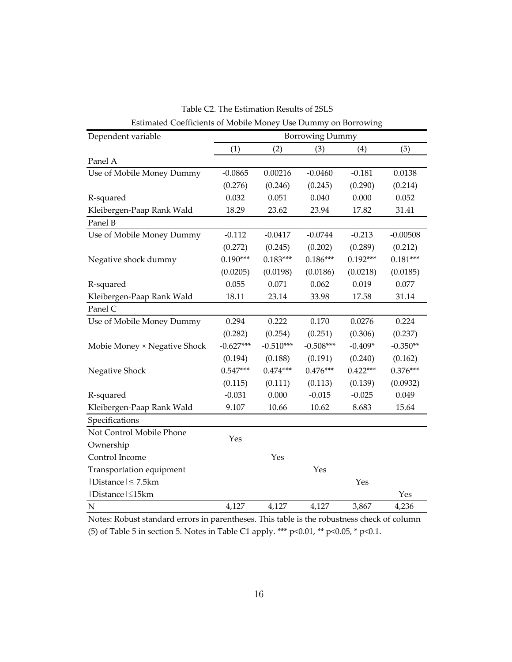| Dependent variable           |             |             | <b>Borrowing Dummy</b> |            |            |
|------------------------------|-------------|-------------|------------------------|------------|------------|
|                              | (1)         | (2)         | (3)                    | (4)        | (5)        |
| Panel A                      |             |             |                        |            |            |
| Use of Mobile Money Dummy    | $-0.0865$   | 0.00216     | $-0.0460$              | $-0.181$   | 0.0138     |
|                              | (0.276)     | (0.246)     | (0.245)                | (0.290)    | (0.214)    |
| R-squared                    | 0.032       | 0.051       | 0.040                  | 0.000      | 0.052      |
| Kleibergen-Paap Rank Wald    | 18.29       | 23.62       | 23.94                  | 17.82      | 31.41      |
| Panel B                      |             |             |                        |            |            |
| Use of Mobile Money Dummy    | $-0.112$    | $-0.0417$   | $-0.0744$              | $-0.213$   | $-0.00508$ |
|                              | (0.272)     | (0.245)     | (0.202)                | (0.289)    | (0.212)    |
| Negative shock dummy         | $0.190***$  | $0.183***$  | $0.186***$             | $0.192***$ | $0.181***$ |
|                              | (0.0205)    | (0.0198)    | (0.0186)               | (0.0218)   | (0.0185)   |
| R-squared                    | 0.055       | 0.071       | 0.062                  | 0.019      | 0.077      |
| Kleibergen-Paap Rank Wald    | 18.11       | 23.14       | 33.98                  | 17.58      | 31.14      |
| Panel C                      |             |             |                        |            |            |
| Use of Mobile Money Dummy    | 0.294       | 0.222       | 0.170                  | 0.0276     | 0.224      |
|                              | (0.282)     | (0.254)     | (0.251)                | (0.306)    | (0.237)    |
| Mobie Money × Negative Shock | $-0.627***$ | $-0.510***$ | $-0.508***$            | $-0.409*$  | $-0.350**$ |
|                              | (0.194)     | (0.188)     | (0.191)                | (0.240)    | (0.162)    |
| Negative Shock               | $0.547***$  | $0.474***$  | $0.476***$             | $0.422***$ | $0.376***$ |
|                              | (0.115)     | (0.111)     | (0.113)                | (0.139)    | (0.0932)   |
| R-squared                    | $-0.031$    | 0.000       | $-0.015$               | $-0.025$   | 0.049      |
| Kleibergen-Paap Rank Wald    | 9.107       | 10.66       | 10.62                  | 8.683      | 15.64      |
| Specifications               |             |             |                        |            |            |
| Not Control Mobile Phone     | Yes         |             |                        |            |            |
| Ownership                    |             |             |                        |            |            |
| Control Income               |             | Yes         |                        |            |            |
| Transportation equipment     |             |             | Yes                    |            |            |
| $ Distance  \leq 7.5km$      |             |             |                        | Yes        |            |
| Distance ≤15km               |             |             |                        |            | Yes        |
| $\mathbf N$                  | 4,127       | 4,127       | 4,127                  | 3,867      | 4,236      |

Estimated Coefficients of Mobile Money Use Dummy on Borrowing Table C2. The Estimation Results of 2SLS

Notes: Robust standard errors in parentheses. This table is the robustness check of column (5) of Table 5 in section 5. Notes in Table C1 apply. \*\*\* p<0.01, \*\* p<0.05, \* p<0.1.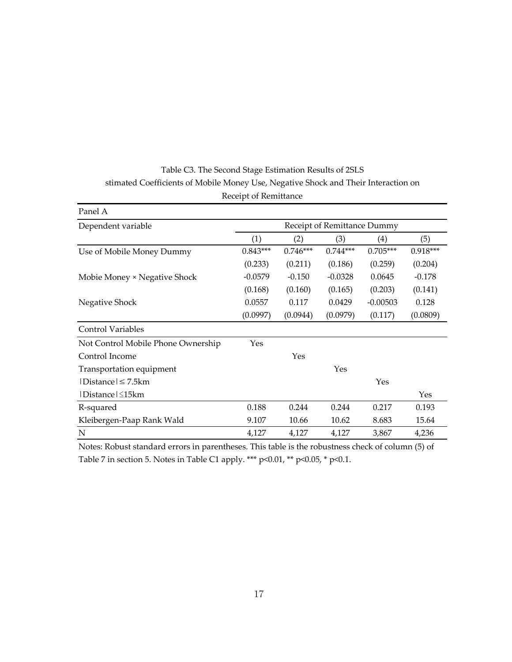| Panel A                            |                             |            |            |            |            |  |  |
|------------------------------------|-----------------------------|------------|------------|------------|------------|--|--|
| Dependent variable                 | Receipt of Remittance Dummy |            |            |            |            |  |  |
|                                    | (1)                         | (2)        | (3)        | (4)        | (5)        |  |  |
| Use of Mobile Money Dummy          | $0.843***$                  | $0.746***$ | $0.744***$ | $0.705***$ | $0.918***$ |  |  |
|                                    | (0.233)                     | (0.211)    | (0.186)    | (0.259)    | (0.204)    |  |  |
| Mobie Money × Negative Shock       | $-0.0579$                   | $-0.150$   | $-0.0328$  | 0.0645     | $-0.178$   |  |  |
|                                    | (0.168)                     | (0.160)    | (0.165)    | (0.203)    | (0.141)    |  |  |
| Negative Shock                     | 0.0557                      | 0.117      | 0.0429     | $-0.00503$ | 0.128      |  |  |
|                                    | (0.0997)                    | (0.0944)   | (0.0979)   | (0.117)    | (0.0809)   |  |  |
| <b>Control Variables</b>           |                             |            |            |            |            |  |  |
| Not Control Mobile Phone Ownership | Yes                         |            |            |            |            |  |  |
| Control Income                     |                             | Yes        |            |            |            |  |  |
| Transportation equipment           |                             |            | Yes        |            |            |  |  |
| $ Distance  \leq 7.5km$            |                             |            |            | Yes        |            |  |  |
| $ Distance  \leq 15km$             |                             |            |            |            | Yes        |  |  |
| R-squared                          | 0.188                       | 0.244      | 0.244      | 0.217      | 0.193      |  |  |
| Kleibergen-Paap Rank Wald          | 9.107                       | 10.66      | 10.62      | 8.683      | 15.64      |  |  |
| N                                  | 4,127                       | 4,127      | 4,127      | 3,867      | 4,236      |  |  |

# Receipt of Remittance Table C3. The Second Stage Estimation Results of 2SLS stimated Coefficients of Mobile Money Use, Negative Shock and Their Interaction on

Notes: Robust standard errors in parentheses. This table is the robustness check of column (5) of Table 7 in section 5. Notes in Table C1 apply. \*\*\* p<0.01, \*\* p<0.05, \* p<0.1.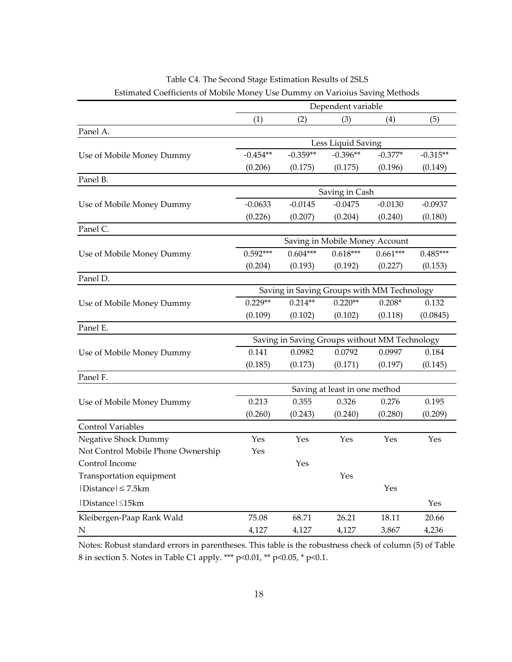| Estimated Coefficients of Mobile Money Use Dummy on Varioius Saving Methods |                                            |            |                                |                                               |            |
|-----------------------------------------------------------------------------|--------------------------------------------|------------|--------------------------------|-----------------------------------------------|------------|
|                                                                             |                                            |            | Dependent variable             |                                               |            |
|                                                                             | (1)                                        | (2)        | (3)                            | (4)                                           | (5)        |
| Panel A.                                                                    |                                            |            |                                |                                               |            |
|                                                                             |                                            |            | Less Liquid Saving             |                                               |            |
| Use of Mobile Money Dummy                                                   | $-0.454**$                                 | $-0.359**$ | $-0.396**$                     | $-0.377*$                                     | $-0.315**$ |
|                                                                             | (0.206)                                    | (0.175)    | (0.175)                        | (0.196)                                       | (0.149)    |
| Panel B.                                                                    |                                            |            |                                |                                               |            |
|                                                                             |                                            |            | Saving in Cash                 |                                               |            |
| Use of Mobile Money Dummy                                                   | $-0.0633$                                  | $-0.0145$  | $-0.0475$                      | $-0.0130$                                     | $-0.0937$  |
|                                                                             | (0.226)                                    | (0.207)    | (0.204)                        | (0.240)                                       | (0.180)    |
| Panel C.                                                                    |                                            |            |                                |                                               |            |
|                                                                             |                                            |            | Saving in Mobile Money Account |                                               |            |
| Use of Mobile Money Dummy                                                   | $0.592***$                                 | $0.604***$ | $0.618***$                     | $0.661***$                                    | $0.485***$ |
|                                                                             | (0.204)                                    | (0.193)    | (0.192)                        | (0.227)                                       | (0.153)    |
| Panel D.                                                                    |                                            |            |                                |                                               |            |
|                                                                             | Saving in Saving Groups with MM Technology |            |                                |                                               |            |
| Use of Mobile Money Dummy                                                   | $0.229**$                                  | $0.214**$  | $0.220**$                      | $0.208*$                                      | 0.132      |
|                                                                             | (0.109)                                    | (0.102)    | (0.102)                        | (0.118)                                       | (0.0845)   |
| Panel E.                                                                    |                                            |            |                                |                                               |            |
|                                                                             |                                            |            |                                | Saving in Saving Groups without MM Technology |            |
| Use of Mobile Money Dummy                                                   | 0.141                                      | 0.0982     | 0.0792                         | 0.0997                                        | 0.184      |
|                                                                             | (0.185)                                    | (0.173)    | (0.171)                        | (0.197)                                       | (0.145)    |
| Panel F.                                                                    |                                            |            |                                |                                               |            |
|                                                                             |                                            |            | Saving at least in one method  |                                               |            |
| Use of Mobile Money Dummy                                                   | 0.213                                      | 0.355      | 0.326                          | 0.276                                         | 0.195      |
|                                                                             | (0.260)                                    | (0.243)    | (0.240)                        | (0.280)                                       | (0.209)    |
| <b>Control Variables</b>                                                    |                                            |            |                                |                                               |            |
| Negative Shock Dummy                                                        | Yes                                        | Yes        | Yes                            | Yes                                           | Yes        |
| Not Control Mobile Phone Ownership                                          | Yes                                        |            |                                |                                               |            |
| Control Income                                                              |                                            | Yes        |                                |                                               |            |
| Transportation equipment                                                    |                                            |            | Yes                            |                                               |            |
| Distance   ≤ 7.5km                                                          |                                            |            |                                | Yes                                           |            |
| Distance ≤15km                                                              |                                            |            |                                |                                               | Yes        |
| Kleibergen-Paap Rank Wald                                                   | 75.08                                      | 68.71      | 26.21                          | 18.11                                         | 20.66      |
| N                                                                           | 4,127                                      | 4,127      | 4,127                          | 3,867                                         | 4,236      |

Table C4. The Second Stage Estimation Results of 2SLS

Notes: Robust standard errors in parentheses. This table is the robustness check of column (5) of Table 8 in section 5. Notes in Table C1 apply. \*\*\* p<0.01, \*\* p<0.05, \* p<0.1.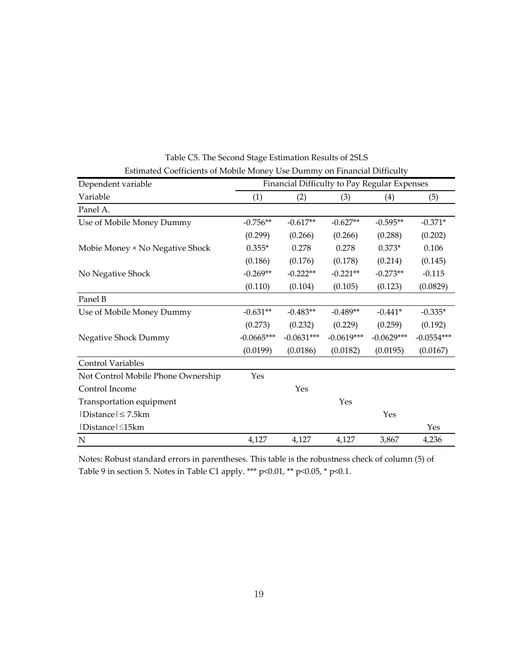| Dependent variable                 |              |              | Financial Difficulty to Pay Regular Expenses |              |              |
|------------------------------------|--------------|--------------|----------------------------------------------|--------------|--------------|
| Variable                           | (1)          | (2)          | (3)                                          | (4)          | (5)          |
| Panel A.                           |              |              |                                              |              |              |
| Use of Mobile Money Dummy          | $-0.756**$   | $-0.617**$   | $-0.627**$                                   | $-0.595**$   | $-0.371*$    |
|                                    | (0.299)      | (0.266)      | (0.266)                                      | (0.288)      | (0.202)      |
| Mobie Money × No Negative Shock    | $0.355*$     | 0.278        | 0.278                                        | $0.373*$     | 0.106        |
|                                    | (0.186)      | (0.176)      | (0.178)                                      | (0.214)      | (0.145)      |
| No Negative Shock                  | $-0.269**$   | $-0.222**$   | $-0.221**$                                   | $-0.273**$   | $-0.115$     |
|                                    | (0.110)      | (0.104)      | (0.105)                                      | (0.123)      | (0.0829)     |
| Panel B                            |              |              |                                              |              |              |
| Use of Mobile Money Dummy          | $-0.631**$   | $-0.483**$   | $-0.489**$                                   | $-0.441*$    | $-0.335*$    |
|                                    | (0.273)      | (0.232)      | (0.229)                                      | (0.259)      | (0.192)      |
| Negative Shock Dummy               | $-0.0665***$ | $-0.0631***$ | $-0.0619***$                                 | $-0.0629***$ | $-0.0554***$ |
|                                    | (0.0199)     | (0.0186)     | (0.0182)                                     | (0.0195)     | (0.0167)     |
| <b>Control Variables</b>           |              |              |                                              |              |              |
| Not Control Mobile Phone Ownership | Yes          |              |                                              |              |              |
| Control Income                     |              | Yes          |                                              |              |              |
| Transportation equipment           |              |              | Yes                                          |              |              |
| $ Distance  \leq 7.5km$            |              |              |                                              | Yes          |              |
| Distance   ≤15km                   |              |              |                                              |              | Yes          |
| $\mathbf N$                        | 4,127        | 4,127        | 4,127                                        | 3,867        | 4,236        |

Table C5. The Second Stage Estimation Results of 2SLS Estimated Coefficients of Mobile Money Use Dummy on Financial Difficulty

Notes: Robust standard errors in parentheses. This table is the robustness check of column (5) of Table 9 in section 5. Notes in Table C1 apply. \*\*\* p<0.01, \*\* p<0.05, \* p<0.1.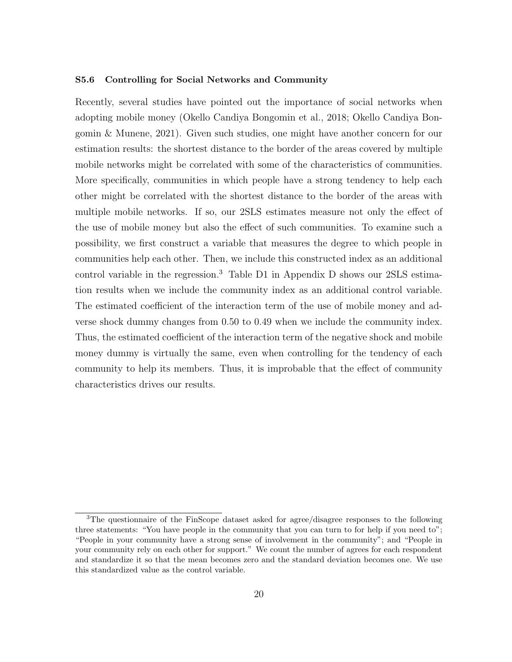#### S5.6 Controlling for Social Networks and Community

Recently, several studies have pointed out the importance of social networks when adopting mobile money (Okello Candiya Bongomin et al., 2018; Okello Candiya Bongomin & Munene, 2021). Given such studies, one might have another concern for our estimation results: the shortest distance to the border of the areas covered by multiple mobile networks might be correlated with some of the characteristics of communities. More specifically, communities in which people have a strong tendency to help each other might be correlated with the shortest distance to the border of the areas with multiple mobile networks. If so, our 2SLS estimates measure not only the effect of the use of mobile money but also the effect of such communities. To examine such a possibility, we first construct a variable that measures the degree to which people in communities help each other. Then, we include this constructed index as an additional control variable in the regression.<sup>3</sup> Table D1 in Appendix D shows our 2SLS estimation results when we include the community index as an additional control variable. The estimated coefficient of the interaction term of the use of mobile money and adverse shock dummy changes from 0.50 to 0.49 when we include the community index. Thus, the estimated coefficient of the interaction term of the negative shock and mobile money dummy is virtually the same, even when controlling for the tendency of each community to help its members. Thus, it is improbable that the effect of community characteristics drives our results.

<sup>&</sup>lt;sup>3</sup>The questionnaire of the FinScope dataset asked for agree/disagree responses to the following three statements: "You have people in the community that you can turn to for help if you need to"; "People in your community have a strong sense of involvement in the community"; and "People in your community rely on each other for support." We count the number of agrees for each respondent and standardize it so that the mean becomes zero and the standard deviation becomes one. We use this standardized value as the control variable.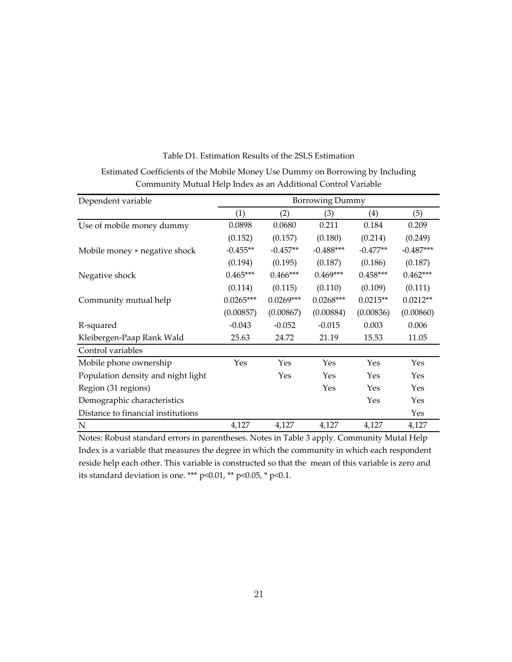| Dependent variable                 |             | <b>Borrowing Dummy</b> |             |            |             |  |
|------------------------------------|-------------|------------------------|-------------|------------|-------------|--|
|                                    | (1)         | (2)                    | (3)         | (4)        | (5)         |  |
| Use of mobile money dummy          | 0.0898      | 0.0680                 | 0.211       | 0.184      | 0.209       |  |
|                                    | (0.152)     | (0.157)                | (0.180)     | (0.214)    | (0.249)     |  |
| Mobile money × negative shock      | $-0.455**$  | $-0.457**$             | $-0.488***$ | $-0.477**$ | $-0.487***$ |  |
|                                    | (0.194)     | (0.195)                | (0.187)     | (0.186)    | (0.187)     |  |
| Negative shock                     | $0.465***$  | $0.466***$             | $0.469***$  | $0.458***$ | $0.462***$  |  |
|                                    | (0.114)     | (0.115)                | (0.110)     | (0.109)    | (0.111)     |  |
| Community mutual help              | $0.0265***$ | $0.0269***$            | $0.0268***$ | $0.0215**$ | $0.0212**$  |  |
|                                    | (0.00857)   | (0.00867)              | (0.00884)   | (0.00836)  | (0.00860)   |  |
| R-squared                          | $-0.043$    | $-0.052$               | $-0.015$    | 0.003      | 0.006       |  |
| Kleibergen-Paap Rank Wald          | 25.63       | 24.72                  | 21.19       | 15.53      | 11.05       |  |
| Control variables                  |             |                        |             |            |             |  |
| Mobile phone ownership             | Yes         | Yes                    | Yes         | Yes        | Yes         |  |
| Population density and night light |             | Yes                    | Yes         | Yes        | Yes         |  |
| Region (31 regions)                |             |                        | Yes         | Yes        | Yes         |  |
| Demographic characteristics        |             |                        |             | Yes        | Yes         |  |
| Distance to financial institutions |             |                        |             |            | Yes         |  |
| N                                  | 4,127       | 4,127                  | 4,127       | 4,127      | 4,127       |  |

Table D1. Estimation Results of the 2SLS Estimation

Estimated Coefficients of the Mobile Money Use Dummy on Borrowing by Including Community Mutual Help Index as an Additional Control Variable

Notes: Robust standard errors in parentheses. Notes in Table 3 apply. Community Mutal Help Index is a variable that measures the degree in which the community in which each respondent reside help each other. This variable is constructed so that the mean of this variable is zero and its standard deviation is one. \*\*\* p<0.01, \*\* p<0.05, \* p<0.1.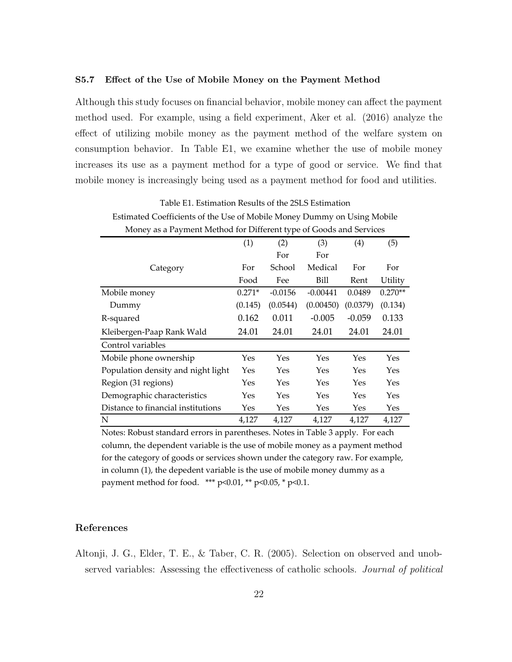#### S5.7 Effect of the Use of Mobile Money on the Payment Method

Although this study focuses on financial behavior, mobile money can affect the payment method used. For example, using a field experiment, Aker et al. (2016) analyze the effect of utilizing mobile money as the payment method of the welfare system on consumption behavior. In Table E1, we examine whether the use of mobile money increases its use as a payment method for a type of good or service. We find that mobile money is increasingly being used as a payment method for food and utilities.

| Money as a Payment Method for Different type of Goods and Services |          |           |            |          |           |
|--------------------------------------------------------------------|----------|-----------|------------|----------|-----------|
|                                                                    | (1)      | (2)       | (3)        | (4)      | (5)       |
|                                                                    |          | For       | For        |          |           |
| Category                                                           | For      | School    | Medical    | For      | For       |
|                                                                    | Food     | Fee       | Bill       | Rent     | Utility   |
| Mobile money                                                       | $0.271*$ | $-0.0156$ | $-0.00441$ | 0.0489   | $0.270**$ |
| Dummy                                                              | (0.145)  | (0.0544)  | (0.00450)  | (0.0379) | (0.134)   |
| R-squared                                                          | 0.162    | 0.011     | $-0.005$   | $-0.059$ | 0.133     |
| Kleibergen-Paap Rank Wald                                          | 24.01    | 24.01     | 24.01      | 24.01    | 24.01     |
| Control variables                                                  |          |           |            |          |           |
| Mobile phone ownership                                             | Yes      | Yes       | Yes        | Yes      | Yes       |
| Population density and night light                                 | Yes      | Yes       | Yes        | Yes      | Yes       |
| Region (31 regions)                                                | Yes      | Yes       | Yes        | Yes      | Yes       |
| Demographic characteristics                                        | Yes      | Yes       | Yes        | Yes      | Yes       |
| Distance to financial institutions                                 | Yes      | Yes       | Yes        | Yes      | Yes       |
| N                                                                  | 4,127    | 4,127     | 4,127      | 4,127    | 4,127     |

| Table E1. Estimation Results of the 2SLS Estimation                                     |
|-----------------------------------------------------------------------------------------|
| Estimated Coefficients of the Use of Mobile Money Dummy on Using Mobile                 |
| $M_{\odot}$ , , , Decomposed Multiple Compatible and the set of $C_{\odot}$ , , , , , , |

Notes: Robust standard errors in parentheses. Notes in Table 3 apply. For each column, the dependent variable is the use of mobile money as a payment method for the category of goods or services shown under the category raw. For example, in column (1), the depedent variable is the use of mobile money dummy as a payment method for food.  $***$  p<0.01, \*\* p<0.05, \* p<0.1.

### References

Altonji, J. G., Elder, T. E., & Taber, C. R. (2005). Selection on observed and unobserved variables: Assessing the effectiveness of catholic schools. Journal of political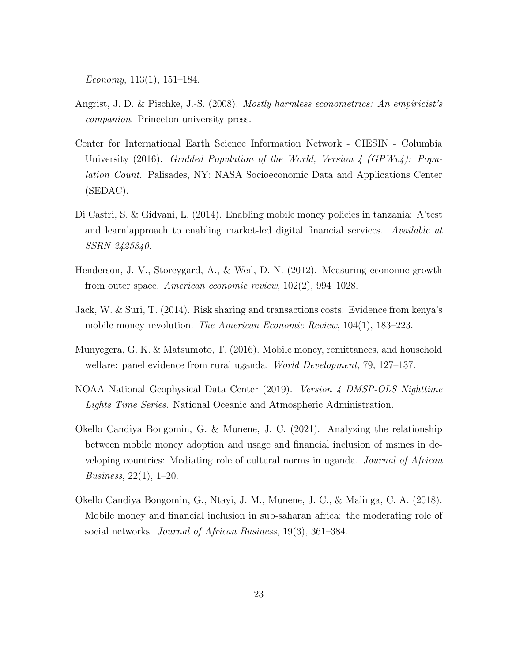Economy,  $113(1)$ ,  $151-184$ .

- Angrist, J. D. & Pischke, J.-S. (2008). Mostly harmless econometrics: An empiricist's companion. Princeton university press.
- Center for International Earth Science Information Network CIESIN Columbia University (2016). Gridded Population of the World, Version 4 (GPWv4): Population Count. Palisades, NY: NASA Socioeconomic Data and Applications Center (SEDAC).
- Di Castri, S. & Gidvani, L. (2014). Enabling mobile money policies in tanzania: A'test and learn'approach to enabling market-led digital financial services. Available at SSRN 2425340.
- Henderson, J. V., Storeygard, A., & Weil, D. N. (2012). Measuring economic growth from outer space. American economic review, 102(2), 994–1028.
- Jack, W. & Suri, T. (2014). Risk sharing and transactions costs: Evidence from kenya's mobile money revolution. *The American Economic Review*, 104(1), 183–223.
- Munyegera, G. K. & Matsumoto, T. (2016). Mobile money, remittances, and household welfare: panel evidence from rural uganda. *World Development*, 79, 127–137.
- NOAA National Geophysical Data Center (2019). Version 4 DMSP-OLS Nighttime Lights Time Series. National Oceanic and Atmospheric Administration.
- Okello Candiya Bongomin, G. & Munene, J. C. (2021). Analyzing the relationship between mobile money adoption and usage and financial inclusion of msmes in developing countries: Mediating role of cultural norms in uganda. Journal of African Business, 22(1), 1–20.
- Okello Candiya Bongomin, G., Ntayi, J. M., Munene, J. C., & Malinga, C. A. (2018). Mobile money and financial inclusion in sub-saharan africa: the moderating role of social networks. Journal of African Business, 19(3), 361–384.